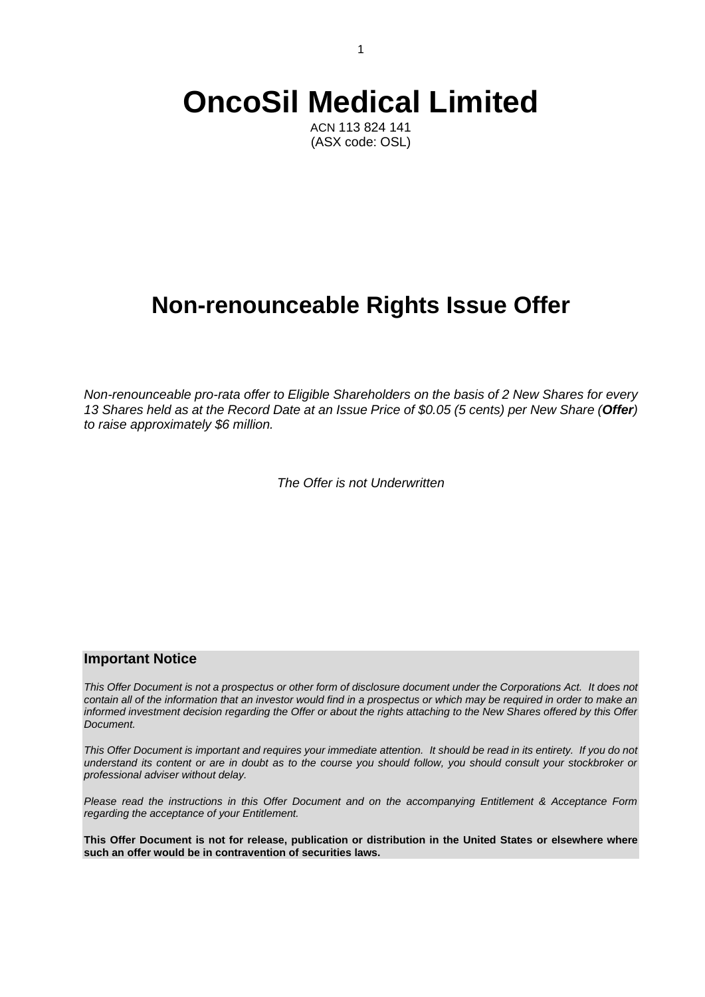# **OncoSil Medical Limited**

ACN 113 824 141 (ASX code: OSL)

# **Non-renounceable Rights Issue Offer**

*Non-renounceable pro-rata offer to Eligible Shareholders on the basis of 2 New Shares for every 13 Shares held as at the Record Date at an Issue Price of \$0.05 (5 cents) per New Share (Offer) to raise approximately \$6 million.*

*The Offer is not Underwritten*

## **Important Notice**

*This Offer Document is not a prospectus or other form of disclosure document under the Corporations Act. It does not contain all of the information that an investor would find in a prospectus or which may be required in order to make an informed investment decision regarding the Offer or about the rights attaching to the New Shares offered by this Offer Document.*

*This Offer Document is important and requires your immediate attention. It should be read in its entirety. If you do not understand its content or are in doubt as to the course you should follow, you should consult your stockbroker or professional adviser without delay.*

*Please read the instructions in this Offer Document and on the accompanying Entitlement & Acceptance Form regarding the acceptance of your Entitlement.*

**This Offer Document is not for release, publication or distribution in the United States or elsewhere where such an offer would be in contravention of securities laws.**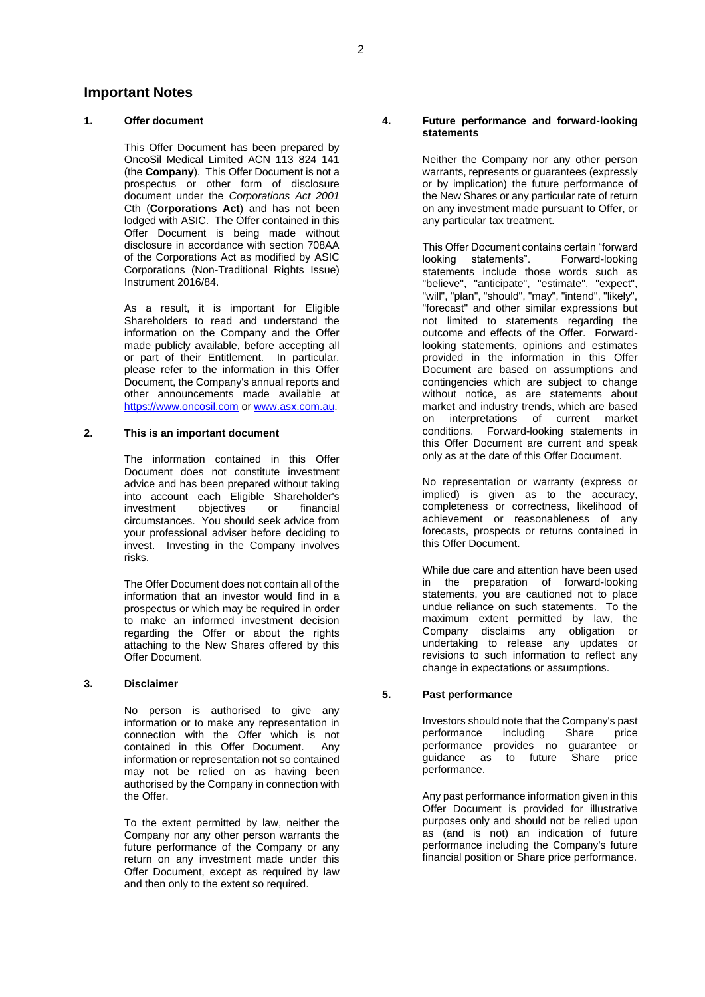### **Important Notes**

#### **1. Offer document**

This Offer Document has been prepared by OncoSil Medical Limited ACN 113 824 141 (the **Company**). This Offer Document is not a prospectus or other form of disclosure document under the *Corporations Act 2001* Cth (**Corporations Act**) and has not been lodged with ASIC. The Offer contained in this Offer Document is being made without disclosure in accordance with section 708AA of the Corporations Act as modified by ASIC Corporations (Non-Traditional Rights Issue) Instrument 2016/84.

As a result, it is important for Eligible Shareholders to read and understand the information on the Company and the Offer made publicly available, before accepting all or part of their Entitlement. In particular, please refer to the information in this Offer Document, the Company's annual reports and other announcements made available at [https://www.oncosil.com](https://www.oncosil.com/) o[r www.asx.com.au.](http://www.asx.com.au/)

#### **2. This is an important document**

The information contained in this Offer Document does not constitute investment advice and has been prepared without taking into account each Eligible Shareholder's investment objectives or financial circumstances. You should seek advice from your professional adviser before deciding to invest. Investing in the Company involves risks.

The Offer Document does not contain all of the information that an investor would find in a prospectus or which may be required in order to make an informed investment decision regarding the Offer or about the rights attaching to the New Shares offered by this Offer Document.

#### **3. Disclaimer**

No person is authorised to give any information or to make any representation in connection with the Offer which is not contained in this Offer Document. Any information or representation not so contained may not be relied on as having been authorised by the Company in connection with the Offer.

To the extent permitted by law, neither the Company nor any other person warrants the future performance of the Company or any return on any investment made under this Offer Document, except as required by law and then only to the extent so required.

#### **4. Future performance and forward-looking statements**

Neither the Company nor any other person warrants, represents or guarantees (expressly or by implication) the future performance of the New Shares or any particular rate of return on any investment made pursuant to Offer, or any particular tax treatment.

This Offer Document contains certain "forward"<br>looking statements". Forward-looking Forward-looking statements include those words such as "believe", "anticipate", "estimate", "expect", "will", "plan", "should", "may", "intend", "likely", "forecast" and other similar expressions but not limited to statements regarding the outcome and effects of the Offer. Forwardlooking statements, opinions and estimates provided in the information in this Offer Document are based on assumptions and contingencies which are subject to change without notice, as are statements about market and industry trends, which are based on interpretations of current market conditions. Forward-looking statements in this Offer Document are current and speak only as at the date of this Offer Document.

No representation or warranty (express or implied) is given as to the accuracy, completeness or correctness, likelihood of achievement or reasonableness of any forecasts, prospects or returns contained in this Offer Document.

While due care and attention have been used in the preparation of forward-looking statements, you are cautioned not to place undue reliance on such statements. To the maximum extent permitted by law, the Company disclaims any obligation or undertaking to release any updates or revisions to such information to reflect any change in expectations or assumptions.

#### **5. Past performance**

Investors should note that the Company's past performance including performance provides no guarantee or guidance as to future Share price performance.

Any past performance information given in this Offer Document is provided for illustrative purposes only and should not be relied upon as (and is not) an indication of future performance including the Company's future financial position or Share price performance.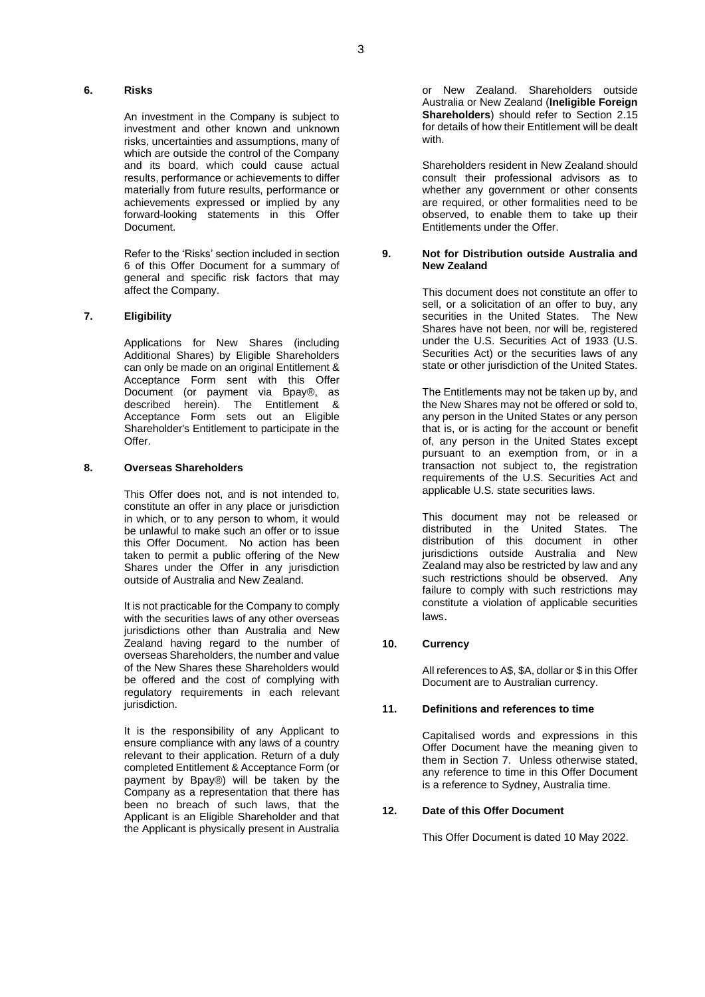#### **6. Risks**

An investment in the Company is subject to investment and other known and unknown risks, uncertainties and assumptions, many of which are outside the control of the Company and its board, which could cause actual results, performance or achievements to differ materially from future results, performance or achievements expressed or implied by any forward-looking statements in this Offer Document.

Refer to the 'Risks' section included in section 6 of this Offer Document for a summary of general and specific risk factors that may affect the Company.

#### **7. Eligibility**

Applications for New Shares (including Additional Shares) by Eligible Shareholders can only be made on an original Entitlement & Acceptance Form sent with this Offer Document (or payment via Bpay®, as described herein). The Entitlement & Acceptance Form sets out an Eligible Shareholder's Entitlement to participate in the **Offer** 

#### **8. Overseas Shareholders**

This Offer does not, and is not intended to, constitute an offer in any place or jurisdiction in which, or to any person to whom, it would be unlawful to make such an offer or to issue this Offer Document. No action has been taken to permit a public offering of the New Shares under the Offer in any jurisdiction outside of Australia and New Zealand.

It is not practicable for the Company to comply with the securities laws of any other overseas jurisdictions other than Australia and New Zealand having regard to the number of overseas Shareholders, the number and value of the New Shares these Shareholders would be offered and the cost of complying with regulatory requirements in each relevant jurisdiction.

It is the responsibility of any Applicant to ensure compliance with any laws of a country relevant to their application. Return of a duly completed Entitlement & Acceptance Form (or payment by Bpay®) will be taken by the Company as a representation that there has been no breach of such laws, that the Applicant is an Eligible Shareholder and that the Applicant is physically present in Australia or New Zealand. Shareholders outside Australia or New Zealand (**Ineligible Foreign Shareholders**) should refer to Section [2.15](#page-9-0) for details of how their Entitlement will be dealt with.

Shareholders resident in New Zealand should consult their professional advisors as to whether any government or other consents are required, or other formalities need to be observed, to enable them to take up their Entitlements under the Offer.

#### **9. Not for Distribution outside Australia and New Zealand**

This document does not constitute an offer to sell, or a solicitation of an offer to buy, any securities in the United States. The New Shares have not been, nor will be, registered under the U.S. Securities Act of 1933 (U.S. Securities Act) or the securities laws of any state or other jurisdiction of the United States.

The Entitlements may not be taken up by, and the New Shares may not be offered or sold to, any person in the United States or any person that is, or is acting for the account or benefit of, any person in the United States except pursuant to an exemption from, or in a transaction not subject to, the registration requirements of the U.S. Securities Act and applicable U.S. state securities laws.

This document may not be released or distributed in the United States. The distribution of this document in other jurisdictions outside Australia and New Zealand may also be restricted by law and any such restrictions should be observed. Any failure to comply with such restrictions may constitute a violation of applicable securities laws.

#### **10. Currency**

All references to A\$, \$A, dollar or \$ in this Offer Document are to Australian currency.

#### **11. Definitions and references to time**

Capitalised words and expressions in this Offer Document have the meaning given to them in Section 7. Unless otherwise stated, any reference to time in this Offer Document is a reference to Sydney, Australia time.

#### **12. Date of this Offer Document**

This Offer Document is dated 10 May 2022.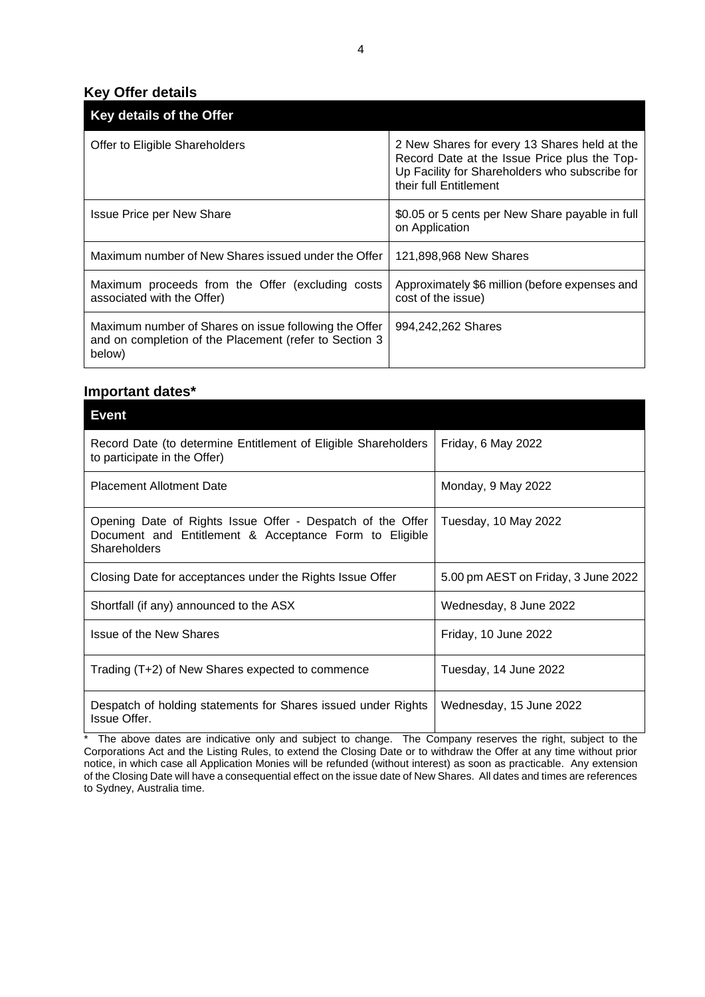# **Key Offer details**

| Key details of the Offer                                                                                                  |                                                                                                                                                                          |
|---------------------------------------------------------------------------------------------------------------------------|--------------------------------------------------------------------------------------------------------------------------------------------------------------------------|
| Offer to Eligible Shareholders                                                                                            | 2 New Shares for every 13 Shares held at the<br>Record Date at the Issue Price plus the Top-<br>Up Facility for Shareholders who subscribe for<br>their full Entitlement |
| <b>Issue Price per New Share</b>                                                                                          | \$0.05 or 5 cents per New Share payable in full<br>on Application                                                                                                        |
| Maximum number of New Shares issued under the Offer                                                                       | 121,898,968 New Shares                                                                                                                                                   |
| Maximum proceeds from the Offer (excluding costs<br>associated with the Offer)                                            | Approximately \$6 million (before expenses and<br>cost of the issue)                                                                                                     |
| Maximum number of Shares on issue following the Offer<br>and on completion of the Placement (refer to Section 3<br>below) | 994,242,262 Shares                                                                                                                                                       |

# **Important dates\***

| <b>Event</b>                                                                                                                         |                                     |
|--------------------------------------------------------------------------------------------------------------------------------------|-------------------------------------|
| Record Date (to determine Entitlement of Eligible Shareholders<br>to participate in the Offer)                                       | Friday, 6 May 2022                  |
| <b>Placement Allotment Date</b>                                                                                                      | Monday, 9 May 2022                  |
| Opening Date of Rights Issue Offer - Despatch of the Offer<br>Document and Entitlement & Acceptance Form to Eligible<br>Shareholders | Tuesday, 10 May 2022                |
| Closing Date for acceptances under the Rights Issue Offer                                                                            | 5.00 pm AEST on Friday, 3 June 2022 |
| Shortfall (if any) announced to the ASX                                                                                              | Wednesday, 8 June 2022              |
| <b>Issue of the New Shares</b>                                                                                                       | Friday, 10 June 2022                |
| Trading (T+2) of New Shares expected to commence                                                                                     | Tuesday, 14 June 2022               |
| Despatch of holding statements for Shares issued under Rights<br>Issue Offer.                                                        | Wednesday, 15 June 2022             |

\* The above dates are indicative only and subject to change. The Company reserves the right, subject to the Corporations Act and the Listing Rules, to extend the Closing Date or to withdraw the Offer at any time without prior notice, in which case all Application Monies will be refunded (without interest) as soon as practicable. Any extension of the Closing Date will have a consequential effect on the issue date of New Shares. All dates and times are references to Sydney, Australia time.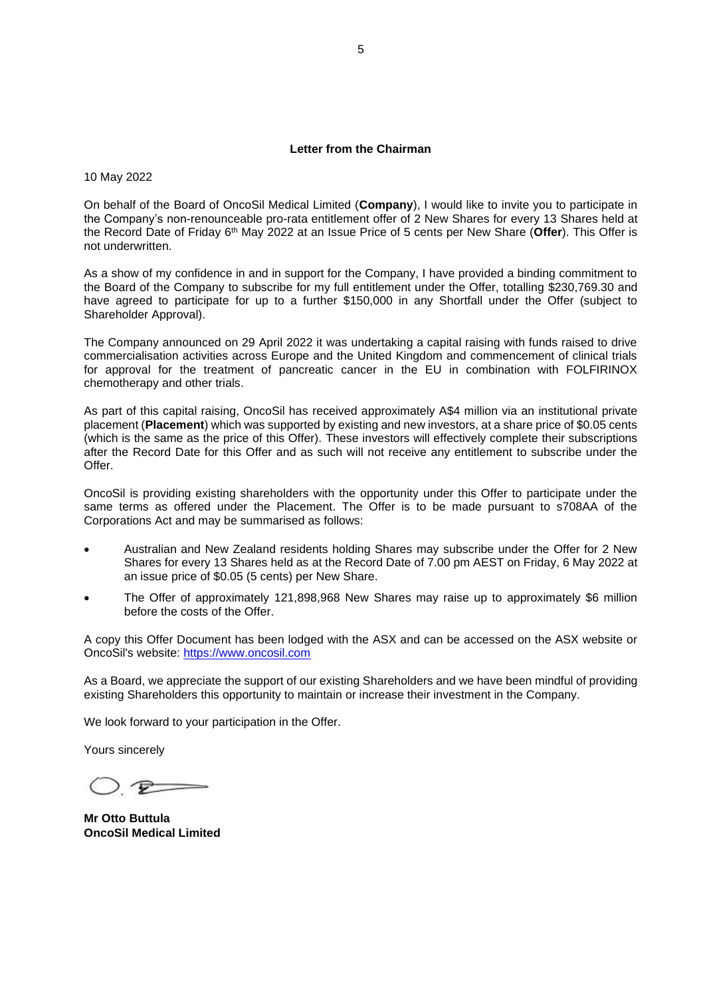#### **Letter from the Chairman**

10 May 2022

On behalf of the Board of OncoSil Medical Limited (**Company**), I would like to invite you to participate in the Company's non-renounceable pro-rata entitlement offer of 2 New Shares for every 13 Shares held at the Record Date of Friday 6th May 2022 at an Issue Price of 5 cents per New Share (**Offer**). This Offer is not underwritten.

As a show of my confidence in and in support for the Company, I have provided a binding commitment to the Board of the Company to subscribe for my full entitlement under the Offer, totalling \$230,769.30 and have agreed to participate for up to a further \$150,000 in any Shortfall under the Offer (subject to Shareholder Approval).

The Company announced on 29 April 2022 it was undertaking a capital raising with funds raised to drive commercialisation activities across Europe and the United Kingdom and commencement of clinical trials for approval for the treatment of pancreatic cancer in the EU in combination with FOLFIRINOX chemotherapy and other trials.

As part of this capital raising, OncoSil has received approximately A\$4 million via an institutional private placement (**Placement**) which was supported by existing and new investors, at a share price of \$0.05 cents (which is the same as the price of this Offer). These investors will effectively complete their subscriptions after the Record Date for this Offer and as such will not receive any entitlement to subscribe under the Offer.

OncoSil is providing existing shareholders with the opportunity under this Offer to participate under the same terms as offered under the Placement. The Offer is to be made pursuant to s708AA of the Corporations Act and may be summarised as follows:

- Australian and New Zealand residents holding Shares may subscribe under the Offer for 2 New Shares for every 13 Shares held as at the Record Date of 7.00 pm AEST on Friday, 6 May 2022 at an issue price of \$0.05 (5 cents) per New Share.
- The Offer of approximately 121,898,968 New Shares may raise up to approximately \$6 million before the costs of the Offer.

A copy this Offer Document has been lodged with the ASX and can be accessed on the ASX website or OncoSil's website: [https://www.oncosil.com](https://www.oncosil.com/)

As a Board, we appreciate the support of our existing Shareholders and we have been mindful of providing existing Shareholders this opportunity to maintain or increase their investment in the Company.

We look forward to your participation in the Offer.

Yours sincerely

 $\rightarrow$ 

**Mr Otto Buttula OncoSil Medical Limited**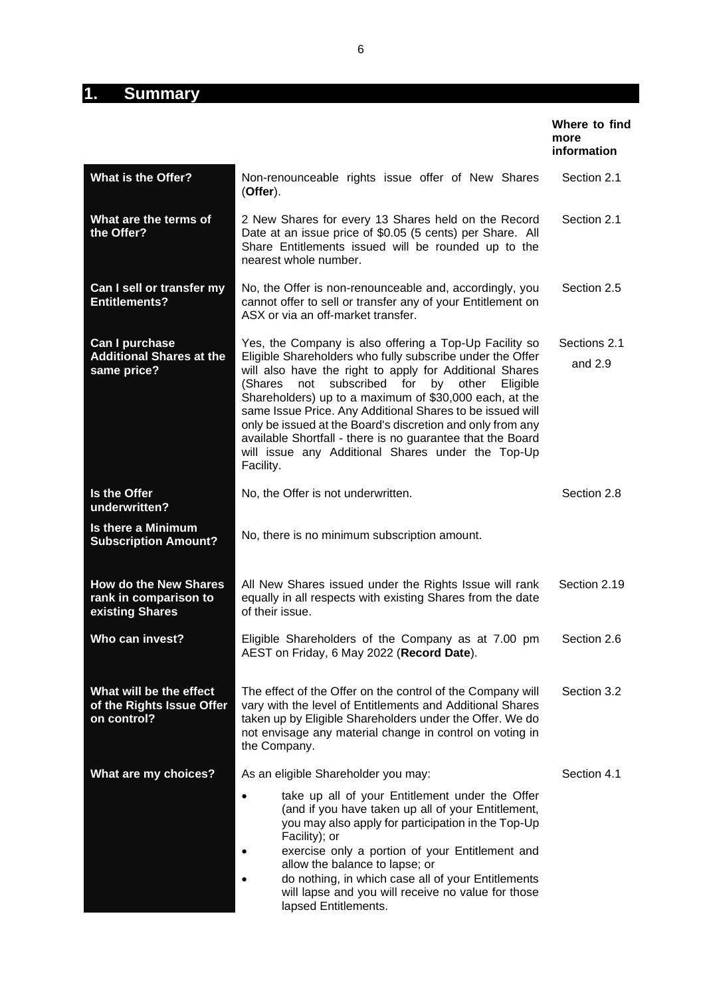# **1. Summary**

|                                                                          |                                                                                                                                                                                                                                                                                                                                                                                                                                                                                                                                                                       | Where to find<br>more<br>information |
|--------------------------------------------------------------------------|-----------------------------------------------------------------------------------------------------------------------------------------------------------------------------------------------------------------------------------------------------------------------------------------------------------------------------------------------------------------------------------------------------------------------------------------------------------------------------------------------------------------------------------------------------------------------|--------------------------------------|
| <b>What is the Offer?</b>                                                | Non-renounceable rights issue offer of New Shares<br>(Offer).                                                                                                                                                                                                                                                                                                                                                                                                                                                                                                         | Section 2.1                          |
| What are the terms of<br>the Offer?                                      | 2 New Shares for every 13 Shares held on the Record<br>Date at an issue price of \$0.05 (5 cents) per Share. All<br>Share Entitlements issued will be rounded up to the<br>nearest whole number.                                                                                                                                                                                                                                                                                                                                                                      | Section 2.1                          |
| Can I sell or transfer my<br>Entitlements?                               | No, the Offer is non-renounceable and, accordingly, you<br>cannot offer to sell or transfer any of your Entitlement on<br>ASX or via an off-market transfer.                                                                                                                                                                                                                                                                                                                                                                                                          | Section 2.5                          |
| Can I purchase<br><b>Additional Shares at the</b><br>same price?         | Yes, the Company is also offering a Top-Up Facility so<br>Eligible Shareholders who fully subscribe under the Offer<br>will also have the right to apply for Additional Shares<br>subscribed<br>for<br>by<br>other<br>(Shares<br>not<br>Eligible<br>Shareholders) up to a maximum of \$30,000 each, at the<br>same Issue Price. Any Additional Shares to be issued will<br>only be issued at the Board's discretion and only from any<br>available Shortfall - there is no guarantee that the Board<br>will issue any Additional Shares under the Top-Up<br>Facility. | Sections 2.1<br>and $2.9$            |
| Is the Offer<br>underwritten?                                            | No, the Offer is not underwritten.                                                                                                                                                                                                                                                                                                                                                                                                                                                                                                                                    | Section 2.8                          |
| <b>Is there a Minimum</b><br><b>Subscription Amount?</b>                 | No, there is no minimum subscription amount.                                                                                                                                                                                                                                                                                                                                                                                                                                                                                                                          |                                      |
| <b>How do the New Shares</b><br>rank in comparison to<br>existing Shares | All New Shares issued under the Rights Issue will rank<br>equally in all respects with existing Shares from the date<br>of their issue.                                                                                                                                                                                                                                                                                                                                                                                                                               | Section 2.19                         |
| Who can invest?                                                          | Eligible Shareholders of the Company as at 7.00 pm<br>AEST on Friday, 6 May 2022 (Record Date).                                                                                                                                                                                                                                                                                                                                                                                                                                                                       | Section 2.6                          |
| What will be the effect<br>of the Rights Issue Offer<br>on control?      | The effect of the Offer on the control of the Company will<br>vary with the level of Entitlements and Additional Shares<br>taken up by Eligible Shareholders under the Offer. We do<br>not envisage any material change in control on voting in<br>the Company.                                                                                                                                                                                                                                                                                                       | Section 3.2                          |
| What are my choices?                                                     | As an eligible Shareholder you may:                                                                                                                                                                                                                                                                                                                                                                                                                                                                                                                                   | Section 4.1                          |
|                                                                          | take up all of your Entitlement under the Offer<br>(and if you have taken up all of your Entitlement,<br>you may also apply for participation in the Top-Up<br>Facility); or<br>exercise only a portion of your Entitlement and<br>allow the balance to lapse; or<br>do nothing, in which case all of your Entitlements<br>will lapse and you will receive no value for those<br>lapsed Entitlements.                                                                                                                                                                 |                                      |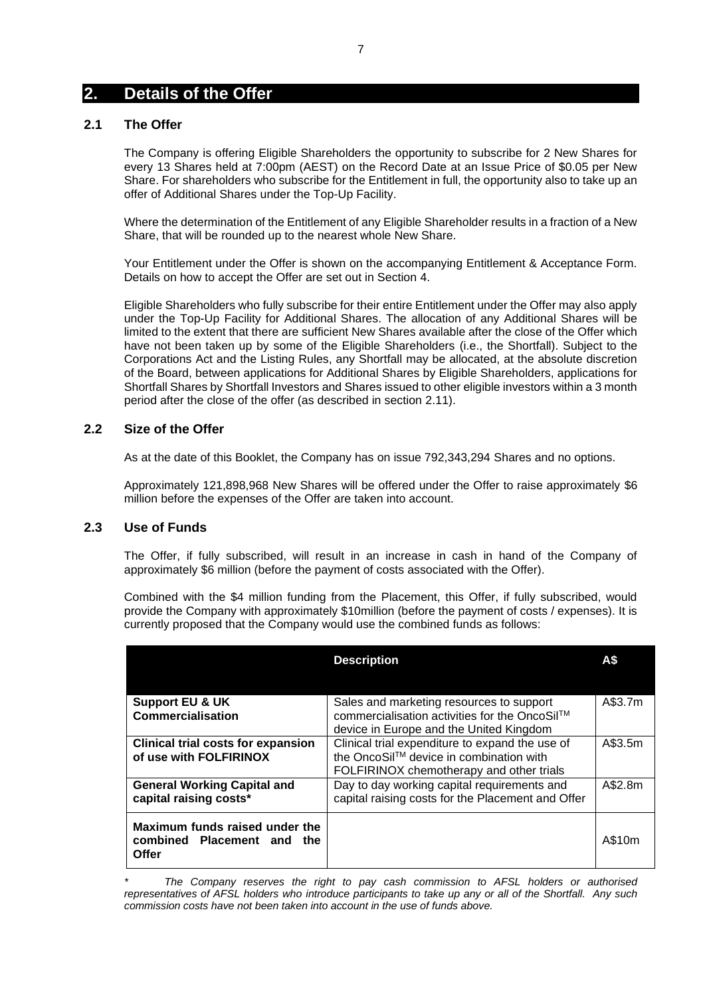# **2. Details of the Offer**

# <span id="page-6-0"></span>**2.1 The Offer**

The Company is offering Eligible Shareholders the opportunity to subscribe for 2 New Shares for every 13 Shares held at 7:00pm (AEST) on the Record Date at an Issue Price of \$0.05 per New Share. For shareholders who subscribe for the Entitlement in full, the opportunity also to take up an offer of Additional Shares under the Top-Up Facility.

Where the determination of the Entitlement of any Eligible Shareholder results in a fraction of a New Share, that will be rounded up to the nearest whole New Share.

Your Entitlement under the Offer is shown on the accompanying Entitlement & Acceptance Form. Details on how to accept the Offer are set out in Section [4.](#page-15-1)

Eligible Shareholders who fully subscribe for their entire Entitlement under the Offer may also apply under the Top-Up Facility for Additional Shares. The allocation of any Additional Shares will be limited to the extent that there are sufficient New Shares available after the close of the Offer which have not been taken up by some of the Eligible Shareholders (i.e., the Shortfall). Subject to the Corporations Act and the Listing Rules, any Shortfall may be allocated, at the absolute discretion of the Board, between applications for Additional Shares by Eligible Shareholders, applications for Shortfall Shares by Shortfall Investors and Shares issued to other eligible investors within a 3 month period after the close of the offer (as described in section [2.11\)](#page-8-0).

## **2.2 Size of the Offer**

As at the date of this Booklet, the Company has on issue 792,343,294 Shares and no options.

Approximately 121,898,968 New Shares will be offered under the Offer to raise approximately \$6 million before the expenses of the Offer are taken into account.

# **2.3 Use of Funds**

The Offer, if fully subscribed, will result in an increase in cash in hand of the Company of approximately \$6 million (before the payment of costs associated with the Offer).

Combined with the \$4 million funding from the Placement, this Offer, if fully subscribed, would provide the Company with approximately \$10million (before the payment of costs / expenses). It is currently proposed that the Company would use the combined funds as follows:

|                                                                       | <b>Description</b>                                                                                                                     | А\$     |
|-----------------------------------------------------------------------|----------------------------------------------------------------------------------------------------------------------------------------|---------|
| <b>Support EU &amp; UK</b><br><b>Commercialisation</b>                | Sales and marketing resources to support<br>commercialisation activities for the OncoSil™<br>device in Europe and the United Kingdom   | A\$3.7m |
| <b>Clinical trial costs for expansion</b><br>of use with FOLFIRINOX   | Clinical trial expenditure to expand the use of<br>the OncoSil™ device in combination with<br>FOLFIRINOX chemotherapy and other trials | A\$3.5m |
| <b>General Working Capital and</b><br>capital raising costs*          | Day to day working capital requirements and<br>capital raising costs for the Placement and Offer                                       | A\$2.8m |
| Maximum funds raised under the<br>combined Placement and the<br>Offer |                                                                                                                                        | A\$10m  |

*<sup>\*</sup> The Company reserves the right to pay cash commission to AFSL holders or authorised representatives of AFSL holders who introduce participants to take up any or all of the Shortfall. Any such commission costs have not been taken into account in the use of funds above.*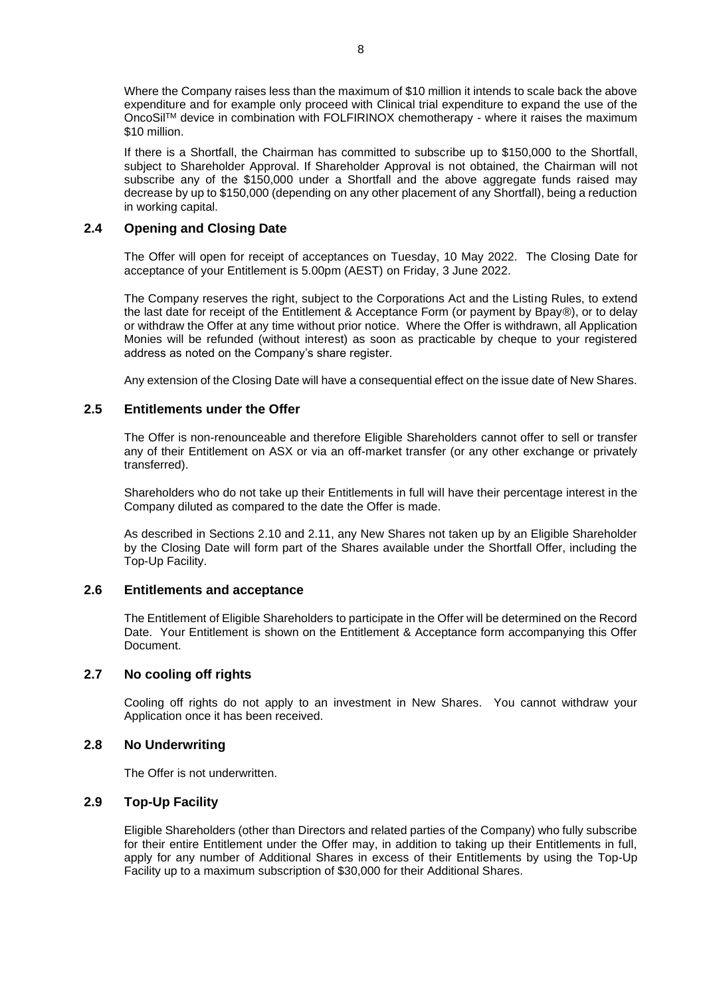Where the Company raises less than the maximum of \$10 million it intends to scale back the above expenditure and for example only proceed with Clinical trial expenditure to expand the use of the OncoSilTM device in combination with FOLFIRINOX chemotherapy - where it raises the maximum \$10 million.

If there is a Shortfall, the Chairman has committed to subscribe up to \$150,000 to the Shortfall, subject to Shareholder Approval. If Shareholder Approval is not obtained, the Chairman will not subscribe any of the \$150,000 under a Shortfall and the above aggregate funds raised may decrease by up to \$150,000 (depending on any other placement of any Shortfall), being a reduction in working capital.

# **2.4 Opening and Closing Date**

The Offer will open for receipt of acceptances on Tuesday, 10 May 2022. The Closing Date for acceptance of your Entitlement is 5.00pm (AEST) on Friday, 3 June 2022.

The Company reserves the right, subject to the Corporations Act and the Listing Rules, to extend the last date for receipt of the Entitlement & Acceptance Form (or payment by Bpay®), or to delay or withdraw the Offer at any time without prior notice. Where the Offer is withdrawn, all Application Monies will be refunded (without interest) as soon as practicable by cheque to your registered address as noted on the Company's share register.

Any extension of the Closing Date will have a consequential effect on the issue date of New Shares.

# <span id="page-7-0"></span>**2.5 Entitlements under the Offer**

The Offer is non-renounceable and therefore Eligible Shareholders cannot offer to sell or transfer any of their Entitlement on ASX or via an off-market transfer (or any other exchange or privately transferred).

Shareholders who do not take up their Entitlements in full will have their percentage interest in the Company diluted as compared to the date the Offer is made.

As described in Sections 2.10 and 2.11, any New Shares not taken up by an Eligible Shareholder by the Closing Date will form part of the Shares available under the Shortfall Offer, including the Top-Up Facility.

## <span id="page-7-3"></span>**2.6 Entitlements and acceptance**

The Entitlement of Eligible Shareholders to participate in the Offer will be determined on the Record Date. Your Entitlement is shown on the Entitlement & Acceptance form accompanying this Offer Document.

## **2.7 No cooling off rights**

Cooling off rights do not apply to an investment in New Shares. You cannot withdraw your Application once it has been received.

## <span id="page-7-2"></span>**2.8 No Underwriting**

The Offer is not underwritten.

## <span id="page-7-1"></span>**2.9 Top-Up Facility**

Eligible Shareholders (other than Directors and related parties of the Company) who fully subscribe for their entire Entitlement under the Offer may, in addition to taking up their Entitlements in full, apply for any number of Additional Shares in excess of their Entitlements by using the Top-Up Facility up to a maximum subscription of \$30,000 for their Additional Shares.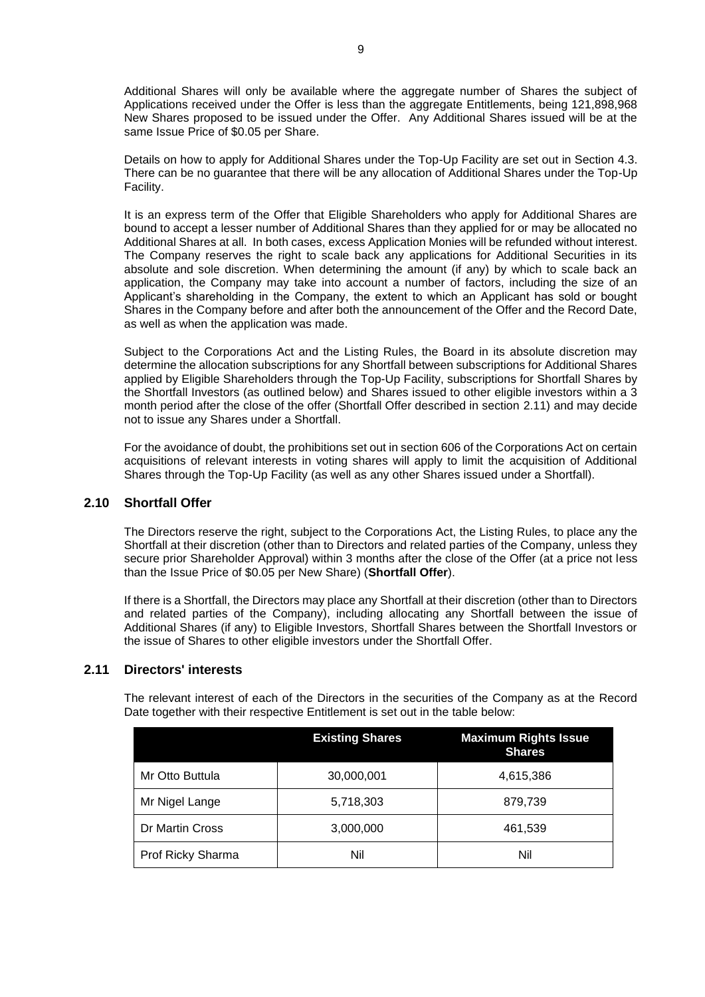Additional Shares will only be available where the aggregate number of Shares the subject of Applications received under the Offer is less than the aggregate Entitlements, being 121,898,968 New Shares proposed to be issued under the Offer. Any Additional Shares issued will be at the same Issue Price of \$0.05 per Share.

Details on how to apply for Additional Shares under the Top-Up Facility are set out in Section [4.3.](#page-16-0) There can be no guarantee that there will be any allocation of Additional Shares under the Top-Up Facility.

It is an express term of the Offer that Eligible Shareholders who apply for Additional Shares are bound to accept a lesser number of Additional Shares than they applied for or may be allocated no Additional Shares at all. In both cases, excess Application Monies will be refunded without interest. The Company reserves the right to scale back any applications for Additional Securities in its absolute and sole discretion. When determining the amount (if any) by which to scale back an application, the Company may take into account a number of factors, including the size of an Applicant's shareholding in the Company, the extent to which an Applicant has sold or bought Shares in the Company before and after both the announcement of the Offer and the Record Date, as well as when the application was made.

Subject to the Corporations Act and the Listing Rules, the Board in its absolute discretion may determine the allocation subscriptions for any Shortfall between subscriptions for Additional Shares applied by Eligible Shareholders through the Top-Up Facility, subscriptions for Shortfall Shares by the Shortfall Investors (as outlined below) and Shares issued to other eligible investors within a 3 month period after the close of the offer (Shortfall Offer described in section [2.11\)](#page-8-0) and may decide not to issue any Shares under a Shortfall.

For the avoidance of doubt, the prohibitions set out in section 606 of the Corporations Act on certain acquisitions of relevant interests in voting shares will apply to limit the acquisition of Additional Shares through the Top-Up Facility (as well as any other Shares issued under a Shortfall).

## <span id="page-8-1"></span>**2.10 Shortfall Offer**

The Directors reserve the right, subject to the Corporations Act, the Listing Rules, to place any the Shortfall at their discretion (other than to Directors and related parties of the Company, unless they secure prior Shareholder Approval) within 3 months after the close of the Offer (at a price not less than the Issue Price of \$0.05 per New Share) (**Shortfall Offer**).

If there is a Shortfall, the Directors may place any Shortfall at their discretion (other than to Directors and related parties of the Company), including allocating any Shortfall between the issue of Additional Shares (if any) to Eligible Investors, Shortfall Shares between the Shortfall Investors or the issue of Shares to other eligible investors under the Shortfall Offer.

### <span id="page-8-0"></span>**2.11 Directors' interests**

The relevant interest of each of the Directors in the securities of the Company as at the Record Date together with their respective Entitlement is set out in the table below:

|                   | <b>Existing Shares</b> | <b>Maximum Rights Issue</b><br><b>Shares</b> |
|-------------------|------------------------|----------------------------------------------|
| Mr Otto Buttula   | 30,000,001             | 4,615,386                                    |
| Mr Nigel Lange    | 5,718,303              | 879,739                                      |
| Dr Martin Cross   | 3,000,000              | 461,539                                      |
| Prof Ricky Sharma | Nil                    | Nil                                          |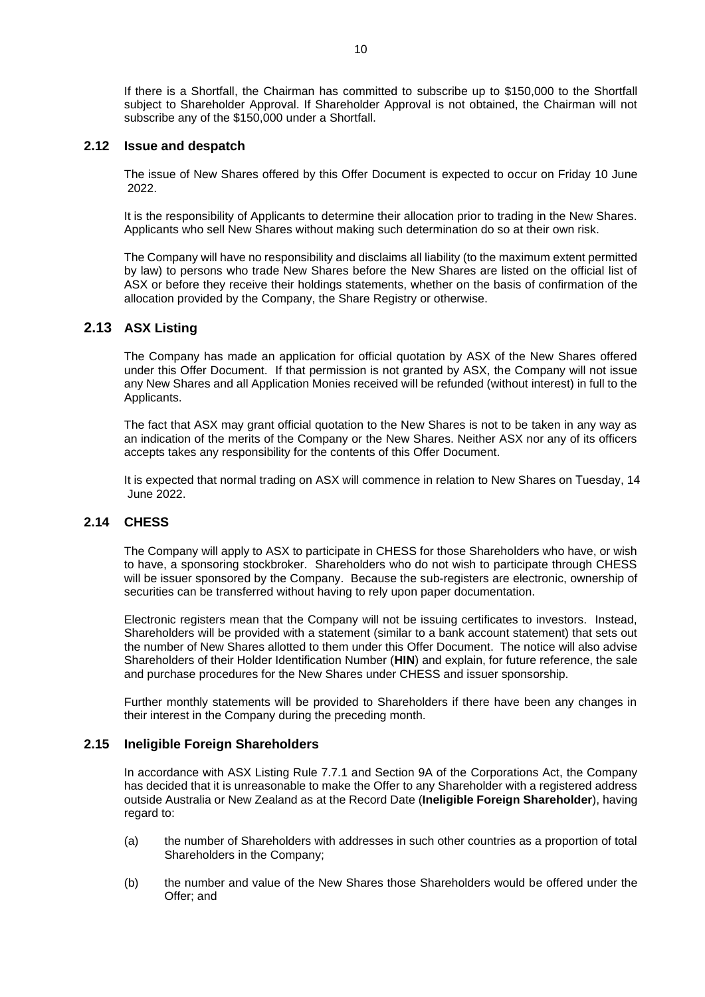If there is a Shortfall, the Chairman has committed to subscribe up to \$150,000 to the Shortfall subject to Shareholder Approval. If Shareholder Approval is not obtained, the Chairman will not subscribe any of the \$150,000 under a Shortfall.

### **2.12 Issue and despatch**

The issue of New Shares offered by this Offer Document is expected to occur on Friday 10 June 2022.

It is the responsibility of Applicants to determine their allocation prior to trading in the New Shares. Applicants who sell New Shares without making such determination do so at their own risk.

The Company will have no responsibility and disclaims all liability (to the maximum extent permitted by law) to persons who trade New Shares before the New Shares are listed on the official list of ASX or before they receive their holdings statements, whether on the basis of confirmation of the allocation provided by the Company, the Share Registry or otherwise.

## **2.13 ASX Listing**

The Company has made an application for official quotation by ASX of the New Shares offered under this Offer Document. If that permission is not granted by ASX, the Company will not issue any New Shares and all Application Monies received will be refunded (without interest) in full to the Applicants.

The fact that ASX may grant official quotation to the New Shares is not to be taken in any way as an indication of the merits of the Company or the New Shares. Neither ASX nor any of its officers accepts takes any responsibility for the contents of this Offer Document.

It is expected that normal trading on ASX will commence in relation to New Shares on Tuesday, 14 June 2022.

### **2.14 CHESS**

The Company will apply to ASX to participate in CHESS for those Shareholders who have, or wish to have, a sponsoring stockbroker. Shareholders who do not wish to participate through CHESS will be issuer sponsored by the Company. Because the sub-registers are electronic, ownership of securities can be transferred without having to rely upon paper documentation.

Electronic registers mean that the Company will not be issuing certificates to investors. Instead, Shareholders will be provided with a statement (similar to a bank account statement) that sets out the number of New Shares allotted to them under this Offer Document. The notice will also advise Shareholders of their Holder Identification Number (**HIN**) and explain, for future reference, the sale and purchase procedures for the New Shares under CHESS and issuer sponsorship.

Further monthly statements will be provided to Shareholders if there have been any changes in their interest in the Company during the preceding month.

### <span id="page-9-0"></span>**2.15 Ineligible Foreign Shareholders**

In accordance with ASX Listing Rule 7.7.1 and Section 9A of the Corporations Act, the Company has decided that it is unreasonable to make the Offer to any Shareholder with a registered address outside Australia or New Zealand as at the Record Date (**Ineligible Foreign Shareholder**), having regard to:

- (a) the number of Shareholders with addresses in such other countries as a proportion of total Shareholders in the Company;
- (b) the number and value of the New Shares those Shareholders would be offered under the Offer; and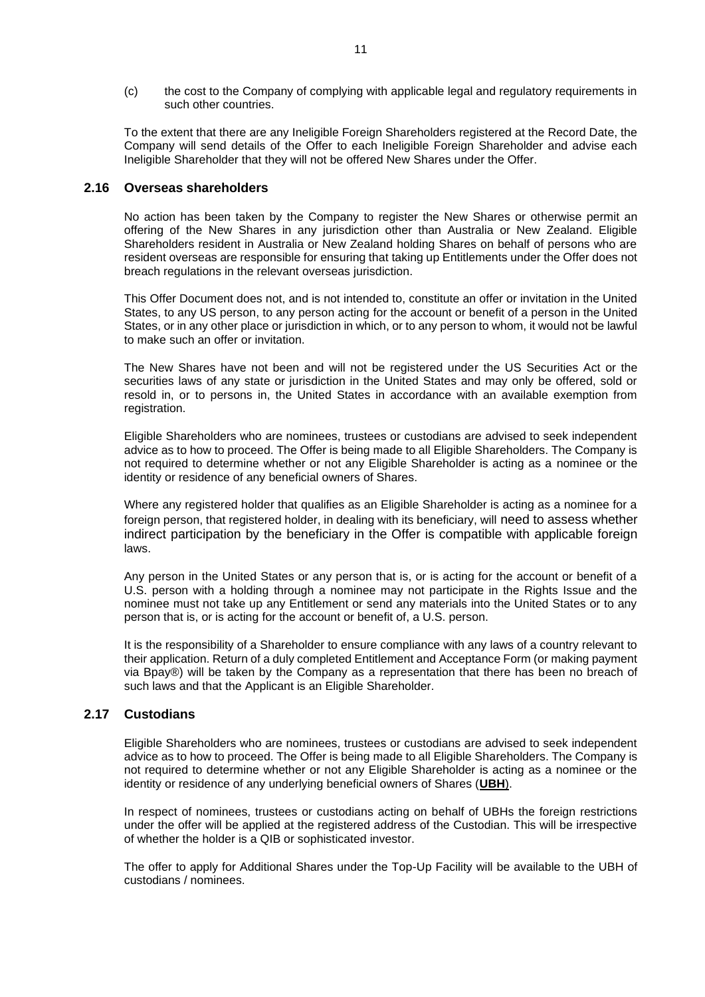(c) the cost to the Company of complying with applicable legal and regulatory requirements in such other countries.

To the extent that there are any Ineligible Foreign Shareholders registered at the Record Date, the Company will send details of the Offer to each Ineligible Foreign Shareholder and advise each Ineligible Shareholder that they will not be offered New Shares under the Offer.

### **2.16 Overseas shareholders**

No action has been taken by the Company to register the New Shares or otherwise permit an offering of the New Shares in any jurisdiction other than Australia or New Zealand. Eligible Shareholders resident in Australia or New Zealand holding Shares on behalf of persons who are resident overseas are responsible for ensuring that taking up Entitlements under the Offer does not breach regulations in the relevant overseas jurisdiction.

This Offer Document does not, and is not intended to, constitute an offer or invitation in the United States, to any US person, to any person acting for the account or benefit of a person in the United States, or in any other place or jurisdiction in which, or to any person to whom, it would not be lawful to make such an offer or invitation.

The New Shares have not been and will not be registered under the US Securities Act or the securities laws of any state or jurisdiction in the United States and may only be offered, sold or resold in, or to persons in, the United States in accordance with an available exemption from registration.

Eligible Shareholders who are nominees, trustees or custodians are advised to seek independent advice as to how to proceed. The Offer is being made to all Eligible Shareholders. The Company is not required to determine whether or not any Eligible Shareholder is acting as a nominee or the identity or residence of any beneficial owners of Shares.

Where any registered holder that qualifies as an Eligible Shareholder is acting as a nominee for a foreign person, that registered holder, in dealing with its beneficiary, will need to assess whether indirect participation by the beneficiary in the Offer is compatible with applicable foreign laws.

Any person in the United States or any person that is, or is acting for the account or benefit of a U.S. person with a holding through a nominee may not participate in the Rights Issue and the nominee must not take up any Entitlement or send any materials into the United States or to any person that is, or is acting for the account or benefit of, a U.S. person.

It is the responsibility of a Shareholder to ensure compliance with any laws of a country relevant to their application. Return of a duly completed Entitlement and Acceptance Form (or making payment via Bpay®) will be taken by the Company as a representation that there has been no breach of such laws and that the Applicant is an Eligible Shareholder.

## **2.17 Custodians**

Eligible Shareholders who are nominees, trustees or custodians are advised to seek independent advice as to how to proceed. The Offer is being made to all Eligible Shareholders. The Company is not required to determine whether or not any Eligible Shareholder is acting as a nominee or the identity or residence of any underlying beneficial owners of Shares (**UBH**).

In respect of nominees, trustees or custodians acting on behalf of UBHs the foreign restrictions under the offer will be applied at the registered address of the Custodian. This will be irrespective of whether the holder is a QIB or sophisticated investor.

The offer to apply for Additional Shares under the Top-Up Facility will be available to the UBH of custodians / nominees.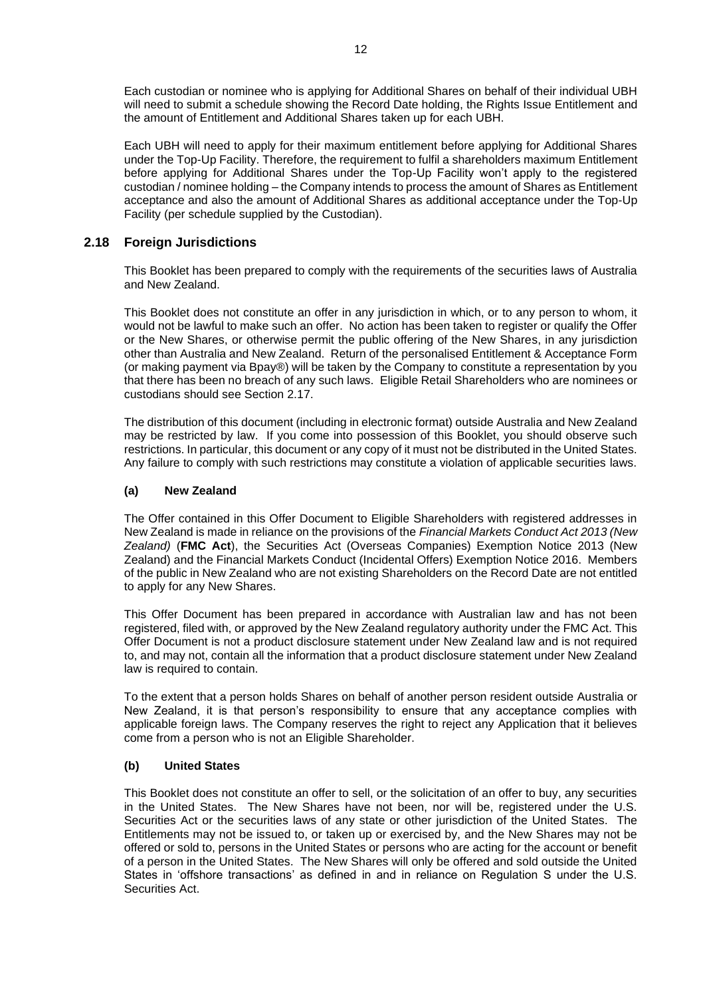Each custodian or nominee who is applying for Additional Shares on behalf of their individual UBH will need to submit a schedule showing the Record Date holding, the Rights Issue Entitlement and the amount of Entitlement and Additional Shares taken up for each UBH.

Each UBH will need to apply for their maximum entitlement before applying for Additional Shares under the Top-Up Facility. Therefore, the requirement to fulfil a shareholders maximum Entitlement before applying for Additional Shares under the Top-Up Facility won't apply to the registered custodian / nominee holding – the Company intends to process the amount of Shares as Entitlement acceptance and also the amount of Additional Shares as additional acceptance under the Top-Up Facility (per schedule supplied by the Custodian).

# **2.18 Foreign Jurisdictions**

This Booklet has been prepared to comply with the requirements of the securities laws of Australia and New Zealand.

This Booklet does not constitute an offer in any jurisdiction in which, or to any person to whom, it would not be lawful to make such an offer. No action has been taken to register or qualify the Offer or the New Shares, or otherwise permit the public offering of the New Shares, in any jurisdiction other than Australia and New Zealand. Return of the personalised Entitlement & Acceptance Form (or making payment via Bpay®) will be taken by the Company to constitute a representation by you that there has been no breach of any such laws. Eligible Retail Shareholders who are nominees or custodians should see Section 2.17.

The distribution of this document (including in electronic format) outside Australia and New Zealand may be restricted by law. If you come into possession of this Booklet, you should observe such restrictions. In particular, this document or any copy of it must not be distributed in the United States. Any failure to comply with such restrictions may constitute a violation of applicable securities laws.

### **(a) New Zealand**

The Offer contained in this Offer Document to Eligible Shareholders with registered addresses in New Zealand is made in reliance on the provisions of the *Financial Markets Conduct Act 2013 (New Zealand)* (**FMC Act**), the Securities Act (Overseas Companies) Exemption Notice 2013 (New Zealand) and the Financial Markets Conduct (Incidental Offers) Exemption Notice 2016. Members of the public in New Zealand who are not existing Shareholders on the Record Date are not entitled to apply for any New Shares.

This Offer Document has been prepared in accordance with Australian law and has not been registered, filed with, or approved by the New Zealand regulatory authority under the FMC Act. This Offer Document is not a product disclosure statement under New Zealand law and is not required to, and may not, contain all the information that a product disclosure statement under New Zealand law is required to contain.

To the extent that a person holds Shares on behalf of another person resident outside Australia or New Zealand, it is that person's responsibility to ensure that any acceptance complies with applicable foreign laws. The Company reserves the right to reject any Application that it believes come from a person who is not an Eligible Shareholder.

### **(b) United States**

This Booklet does not constitute an offer to sell, or the solicitation of an offer to buy, any securities in the United States. The New Shares have not been, nor will be, registered under the U.S. Securities Act or the securities laws of any state or other jurisdiction of the United States. The Entitlements may not be issued to, or taken up or exercised by, and the New Shares may not be offered or sold to, persons in the United States or persons who are acting for the account or benefit of a person in the United States. The New Shares will only be offered and sold outside the United States in 'offshore transactions' as defined in and in reliance on Regulation S under the U.S. Securities Act.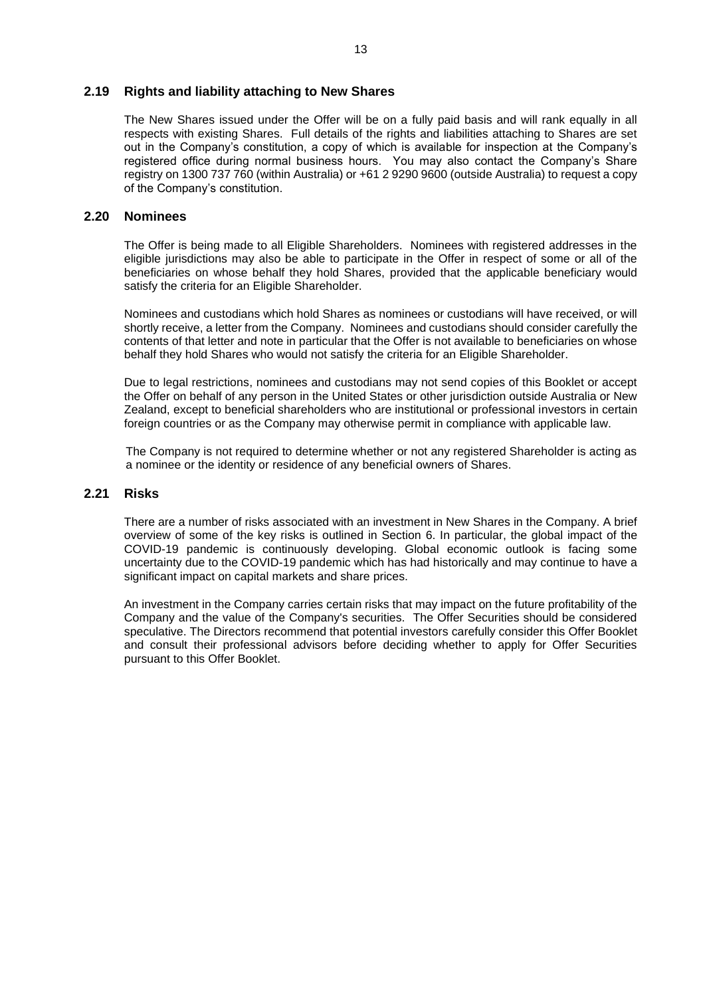### <span id="page-12-0"></span>**2.19 Rights and liability attaching to New Shares**

The New Shares issued under the Offer will be on a fully paid basis and will rank equally in all respects with existing Shares. Full details of the rights and liabilities attaching to Shares are set out in the Company's constitution, a copy of which is available for inspection at the Company's registered office during normal business hours. You may also contact the Company's Share registry on 1300 737 760 (within Australia) or +61 2 9290 9600 (outside Australia) to request a copy of the Company's constitution.

### **2.20 Nominees**

The Offer is being made to all Eligible Shareholders. Nominees with registered addresses in the eligible jurisdictions may also be able to participate in the Offer in respect of some or all of the beneficiaries on whose behalf they hold Shares, provided that the applicable beneficiary would satisfy the criteria for an Eligible Shareholder.

Nominees and custodians which hold Shares as nominees or custodians will have received, or will shortly receive, a letter from the Company. Nominees and custodians should consider carefully the contents of that letter and note in particular that the Offer is not available to beneficiaries on whose behalf they hold Shares who would not satisfy the criteria for an Eligible Shareholder.

Due to legal restrictions, nominees and custodians may not send copies of this Booklet or accept the Offer on behalf of any person in the United States or other jurisdiction outside Australia or New Zealand, except to beneficial shareholders who are institutional or professional investors in certain foreign countries or as the Company may otherwise permit in compliance with applicable law.

The Company is not required to determine whether or not any registered Shareholder is acting as a nominee or the identity or residence of any beneficial owners of Shares.

### **2.21 Risks**

There are a number of risks associated with an investment in New Shares in the Company. A brief overview of some of the key risks is outlined in Section [6.](#page-21-0) In particular, the global impact of the COVID-19 pandemic is continuously developing. Global economic outlook is facing some uncertainty due to the COVID-19 pandemic which has had historically and may continue to have a significant impact on capital markets and share prices.

An investment in the Company carries certain risks that may impact on the future profitability of the Company and the value of the Company's securities. The Offer Securities should be considered speculative. The Directors recommend that potential investors carefully consider this Offer Booklet and consult their professional advisors before deciding whether to apply for Offer Securities pursuant to this Offer Booklet.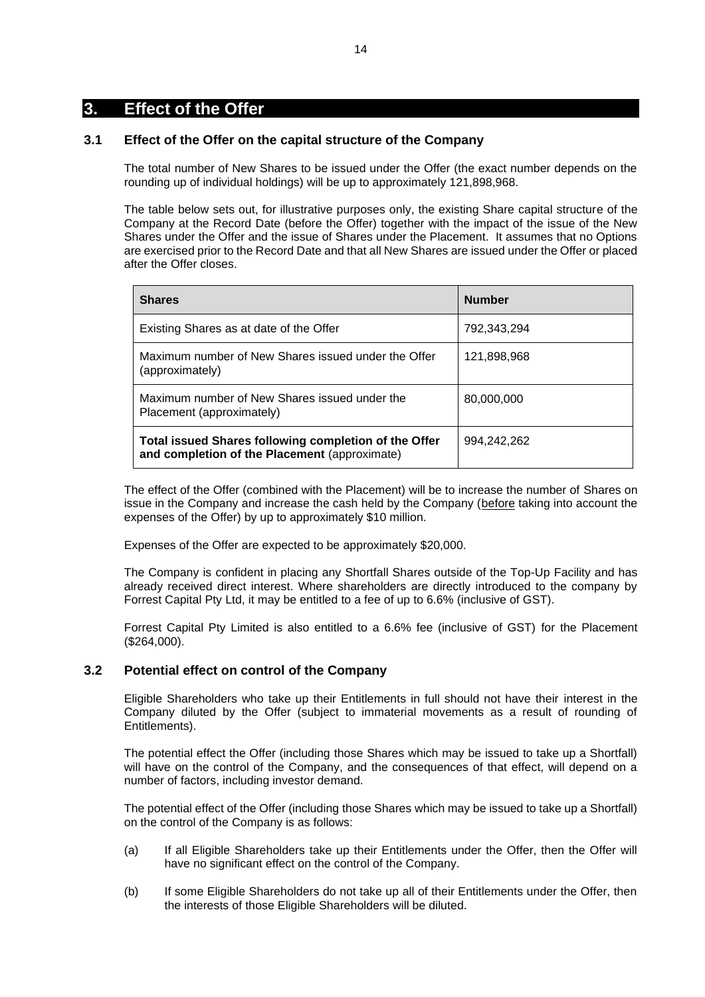# <span id="page-13-0"></span>**3. Effect of the Offer**

# **3.1 Effect of the Offer on the capital structure of the Company**

The total number of New Shares to be issued under the Offer (the exact number depends on the rounding up of individual holdings) will be up to approximately 121,898,968.

The table below sets out, for illustrative purposes only, the existing Share capital structure of the Company at the Record Date (before the Offer) together with the impact of the issue of the New Shares under the Offer and the issue of Shares under the Placement. It assumes that no Options are exercised prior to the Record Date and that all New Shares are issued under the Offer or placed after the Offer closes.

| <b>Shares</b>                                                                                          | <b>Number</b> |
|--------------------------------------------------------------------------------------------------------|---------------|
| Existing Shares as at date of the Offer                                                                | 792,343,294   |
| Maximum number of New Shares issued under the Offer<br>(approximately)                                 | 121,898,968   |
| Maximum number of New Shares issued under the<br>Placement (approximately)                             | 80.000.000    |
| Total issued Shares following completion of the Offer<br>and completion of the Placement (approximate) | 994,242,262   |

The effect of the Offer (combined with the Placement) will be to increase the number of Shares on issue in the Company and increase the cash held by the Company (before taking into account the expenses of the Offer) by up to approximately \$10 million.

Expenses of the Offer are expected to be approximately \$20,000.

The Company is confident in placing any Shortfall Shares outside of the Top-Up Facility and has already received direct interest. Where shareholders are directly introduced to the company by Forrest Capital Pty Ltd, it may be entitled to a fee of up to 6.6% (inclusive of GST).

Forrest Capital Pty Limited is also entitled to a 6.6% fee (inclusive of GST) for the Placement (\$264,000).

## <span id="page-13-1"></span>**3.2 Potential effect on control of the Company**

Eligible Shareholders who take up their Entitlements in full should not have their interest in the Company diluted by the Offer (subject to immaterial movements as a result of rounding of Entitlements).

The potential effect the Offer (including those Shares which may be issued to take up a Shortfall) will have on the control of the Company, and the consequences of that effect, will depend on a number of factors, including investor demand.

The potential effect of the Offer (including those Shares which may be issued to take up a Shortfall) on the control of the Company is as follows:

- (a) If all Eligible Shareholders take up their Entitlements under the Offer, then the Offer will have no significant effect on the control of the Company.
- (b) If some Eligible Shareholders do not take up all of their Entitlements under the Offer, then the interests of those Eligible Shareholders will be diluted.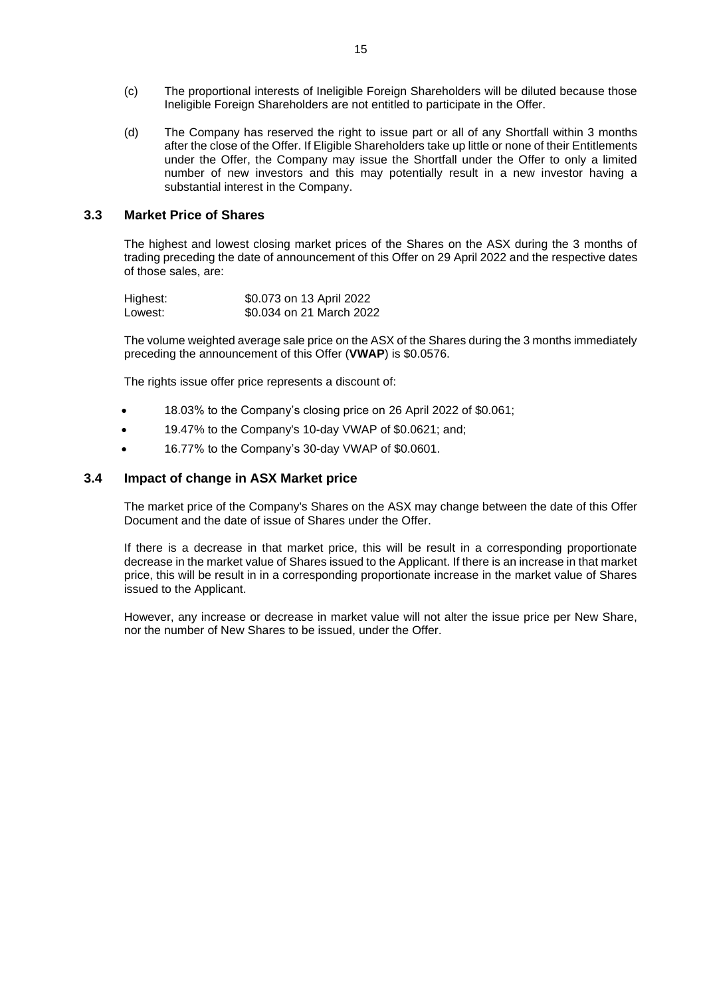- (c) The proportional interests of Ineligible Foreign Shareholders will be diluted because those Ineligible Foreign Shareholders are not entitled to participate in the Offer.
- (d) The Company has reserved the right to issue part or all of any Shortfall within 3 months after the close of the Offer. If Eligible Shareholders take up little or none of their Entitlements under the Offer, the Company may issue the Shortfall under the Offer to only a limited number of new investors and this may potentially result in a new investor having a substantial interest in the Company.

### **3.3 Market Price of Shares**

The highest and lowest closing market prices of the Shares on the ASX during the 3 months of trading preceding the date of announcement of this Offer on 29 April 2022 and the respective dates of those sales, are:

| Highest: | \$0.073 on 13 April 2022 |
|----------|--------------------------|
| Lowest:  | \$0.034 on 21 March 2022 |

The volume weighted average sale price on the ASX of the Shares during the 3 months immediately preceding the announcement of this Offer (**VWAP**) is \$0.0576.

The rights issue offer price represents a discount of:

- 18.03% to the Company's closing price on 26 April 2022 of \$0.061;
- 19.47% to the Company's 10-day VWAP of \$0.0621; and;
- 16.77% to the Company's 30-day VWAP of \$0.0601.

### **3.4 Impact of change in ASX Market price**

The market price of the Company's Shares on the ASX may change between the date of this Offer Document and the date of issue of Shares under the Offer.

If there is a decrease in that market price, this will be result in a corresponding proportionate decrease in the market value of Shares issued to the Applicant. If there is an increase in that market price, this will be result in in a corresponding proportionate increase in the market value of Shares issued to the Applicant.

However, any increase or decrease in market value will not alter the issue price per New Share, nor the number of New Shares to be issued, under the Offer.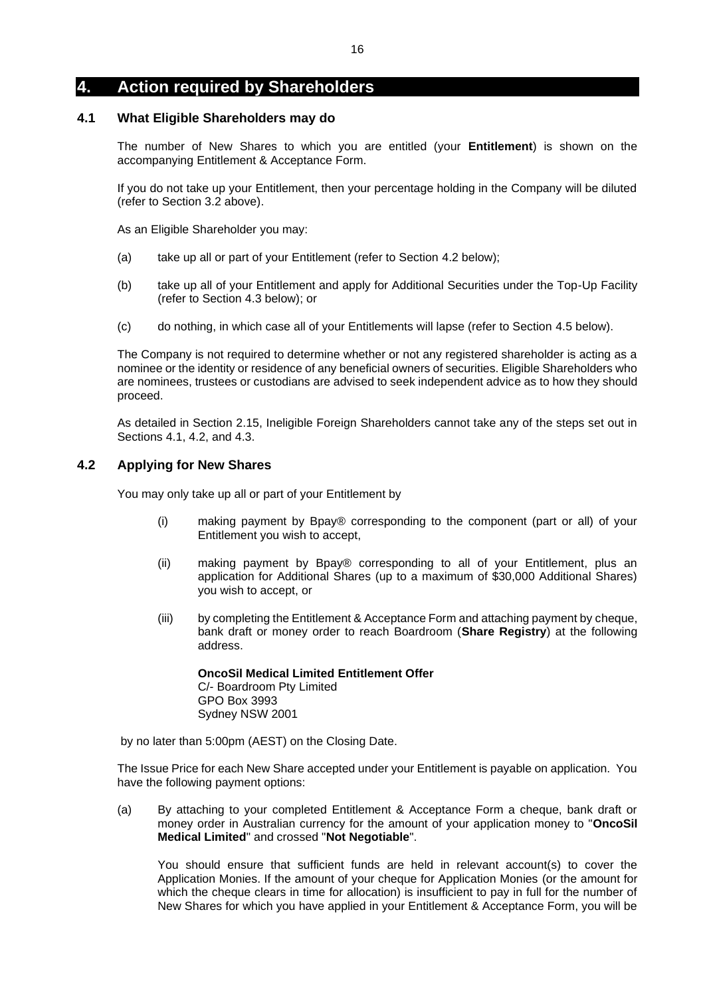# <span id="page-15-1"></span>**4. Action required by Shareholders**

## <span id="page-15-0"></span>**4.1 What Eligible Shareholders may do**

The number of New Shares to which you are entitled (your **Entitlement**) is shown on the accompanying Entitlement & Acceptance Form.

If you do not take up your Entitlement, then your percentage holding in the Company will be diluted (refer to Section [3.2](#page-13-1) above).

As an Eligible Shareholder you may:

- (a) take up all or part of your Entitlement (refer to Section [4.2](#page-15-2) below);
- (b) take up all of your Entitlement and apply for Additional Securities under the Top-Up Facility (refer to Section [4.3](#page-16-0) below); or
- (c) do nothing, in which case all of your Entitlements will lapse (refer to Section [4.5](#page-17-0) below).

The Company is not required to determine whether or not any registered shareholder is acting as a nominee or the identity or residence of any beneficial owners of securities. Eligible Shareholders who are nominees, trustees or custodians are advised to seek independent advice as to how they should proceed.

As detailed in Section [2.15,](#page-9-0) Ineligible Foreign Shareholders cannot take any of the steps set out in Sections [4.1,](#page-15-0) [4.2,](#page-15-2) and [4.3.](#page-16-0)

# <span id="page-15-2"></span>**4.2 Applying for New Shares**

You may only take up all or part of your Entitlement by

- (i) making payment by Bpay® corresponding to the component (part or all) of your Entitlement you wish to accept,
- (ii) making payment by Bpay® corresponding to all of your Entitlement, plus an application for Additional Shares (up to a maximum of \$30,000 Additional Shares) you wish to accept, or
- (iii) by completing the Entitlement & Acceptance Form and attaching payment by cheque, bank draft or money order to reach Boardroom (**Share Registry**) at the following address.

# **OncoSil Medical Limited Entitlement Offer**

C/- Boardroom Pty Limited GPO Box 3993 Sydney NSW 2001

by no later than 5:00pm (AEST) on the Closing Date.

The Issue Price for each New Share accepted under your Entitlement is payable on application. You have the following payment options:

(a) By attaching to your completed Entitlement & Acceptance Form a cheque, bank draft or money order in Australian currency for the amount of your application money to "**OncoSil Medical Limited**" and crossed "**Not Negotiable**".

You should ensure that sufficient funds are held in relevant account(s) to cover the Application Monies. If the amount of your cheque for Application Monies (or the amount for which the cheque clears in time for allocation) is insufficient to pay in full for the number of New Shares for which you have applied in your Entitlement & Acceptance Form, you will be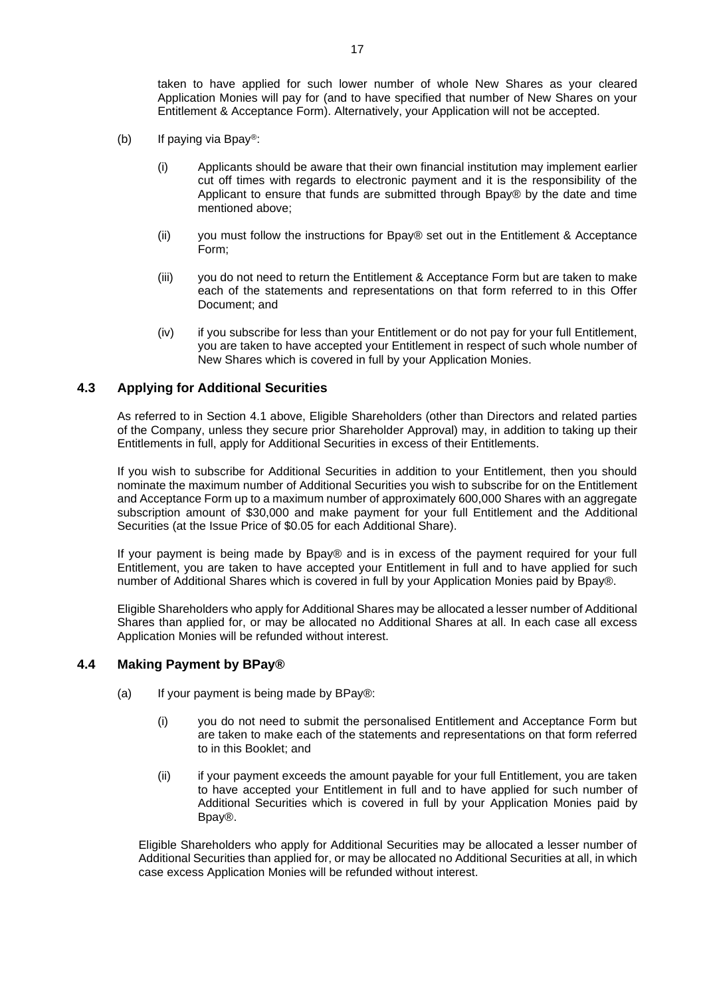taken to have applied for such lower number of whole New Shares as your cleared Application Monies will pay for (and to have specified that number of New Shares on your Entitlement & Acceptance Form). Alternatively, your Application will not be accepted.

- (b) If paying via Bpay<sup>®</sup>:
	- (i) Applicants should be aware that their own financial institution may implement earlier cut off times with regards to electronic payment and it is the responsibility of the Applicant to ensure that funds are submitted through Bpay® by the date and time mentioned above;
	- (ii) you must follow the instructions for Bpay® set out in the Entitlement & Acceptance Form;
	- (iii) you do not need to return the Entitlement & Acceptance Form but are taken to make each of the statements and representations on that form referred to in this Offer Document; and
	- (iv) if you subscribe for less than your Entitlement or do not pay for your full Entitlement, you are taken to have accepted your Entitlement in respect of such whole number of New Shares which is covered in full by your Application Monies.

### <span id="page-16-0"></span>**4.3 Applying for Additional Securities**

As referred to in Section [4.1](#page-15-0) above, Eligible Shareholders (other than Directors and related parties of the Company, unless they secure prior Shareholder Approval) may, in addition to taking up their Entitlements in full, apply for Additional Securities in excess of their Entitlements.

If you wish to subscribe for Additional Securities in addition to your Entitlement, then you should nominate the maximum number of Additional Securities you wish to subscribe for on the Entitlement and Acceptance Form up to a maximum number of approximately 600,000 Shares with an aggregate subscription amount of \$30,000 and make payment for your full Entitlement and the Additional Securities (at the Issue Price of \$0.05 for each Additional Share).

If your payment is being made by Bpay® and is in excess of the payment required for your full Entitlement, you are taken to have accepted your Entitlement in full and to have applied for such number of Additional Shares which is covered in full by your Application Monies paid by Bpay®.

Eligible Shareholders who apply for Additional Shares may be allocated a lesser number of Additional Shares than applied for, or may be allocated no Additional Shares at all. In each case all excess Application Monies will be refunded without interest.

### **4.4 Making Payment by BPay®**

- (a) If your payment is being made by  $BPay@$ :
	- (i) you do not need to submit the personalised Entitlement and Acceptance Form but are taken to make each of the statements and representations on that form referred to in this Booklet; and
	- (ii) if your payment exceeds the amount payable for your full Entitlement, you are taken to have accepted your Entitlement in full and to have applied for such number of Additional Securities which is covered in full by your Application Monies paid by Bpay®.

Eligible Shareholders who apply for Additional Securities may be allocated a lesser number of Additional Securities than applied for, or may be allocated no Additional Securities at all, in which case excess Application Monies will be refunded without interest.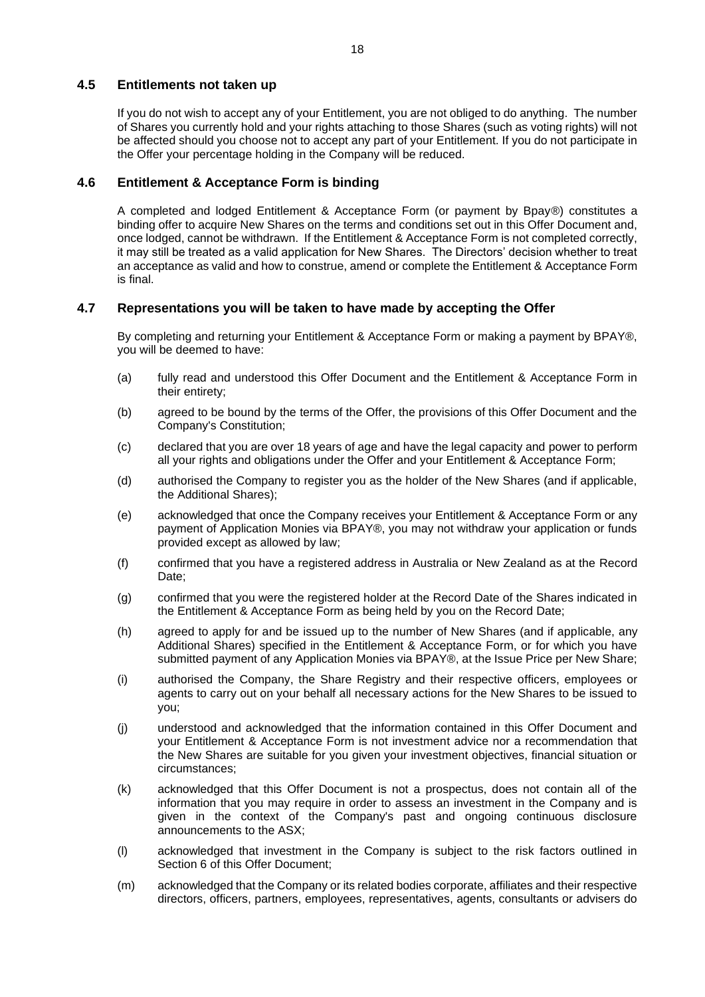# <span id="page-17-0"></span>**4.5 Entitlements not taken up**

If you do not wish to accept any of your Entitlement, you are not obliged to do anything. The number of Shares you currently hold and your rights attaching to those Shares (such as voting rights) will not be affected should you choose not to accept any part of your Entitlement. If you do not participate in the Offer your percentage holding in the Company will be reduced.

# **4.6 Entitlement & Acceptance Form is binding**

A completed and lodged Entitlement & Acceptance Form (or payment by Bpay®) constitutes a binding offer to acquire New Shares on the terms and conditions set out in this Offer Document and, once lodged, cannot be withdrawn. If the Entitlement & Acceptance Form is not completed correctly, it may still be treated as a valid application for New Shares. The Directors' decision whether to treat an acceptance as valid and how to construe, amend or complete the Entitlement & Acceptance Form is final.

# **4.7 Representations you will be taken to have made by accepting the Offer**

By completing and returning your Entitlement & Acceptance Form or making a payment by BPAY®, you will be deemed to have:

- (a) fully read and understood this Offer Document and the Entitlement & Acceptance Form in their entirety;
- (b) agreed to be bound by the terms of the Offer, the provisions of this Offer Document and the Company's Constitution;
- (c) declared that you are over 18 years of age and have the legal capacity and power to perform all your rights and obligations under the Offer and your Entitlement & Acceptance Form;
- (d) authorised the Company to register you as the holder of the New Shares (and if applicable, the Additional Shares);
- (e) acknowledged that once the Company receives your Entitlement & Acceptance Form or any payment of Application Monies via BPAY®, you may not withdraw your application or funds provided except as allowed by law;
- (f) confirmed that you have a registered address in Australia or New Zealand as at the Record Date:
- (g) confirmed that you were the registered holder at the Record Date of the Shares indicated in the Entitlement & Acceptance Form as being held by you on the Record Date;
- (h) agreed to apply for and be issued up to the number of New Shares (and if applicable, any Additional Shares) specified in the Entitlement & Acceptance Form, or for which you have submitted payment of any Application Monies via BPAY®, at the Issue Price per New Share;
- (i) authorised the Company, the Share Registry and their respective officers, employees or agents to carry out on your behalf all necessary actions for the New Shares to be issued to you;
- (j) understood and acknowledged that the information contained in this Offer Document and your Entitlement & Acceptance Form is not investment advice nor a recommendation that the New Shares are suitable for you given your investment objectives, financial situation or circumstances;
- (k) acknowledged that this Offer Document is not a prospectus, does not contain all of the information that you may require in order to assess an investment in the Company and is given in the context of the Company's past and ongoing continuous disclosure announcements to the ASX;
- (l) acknowledged that investment in the Company is subject to the risk factors outlined in Section 6 of this Offer Document;
- (m) acknowledged that the Company or its related bodies corporate, affiliates and their respective directors, officers, partners, employees, representatives, agents, consultants or advisers do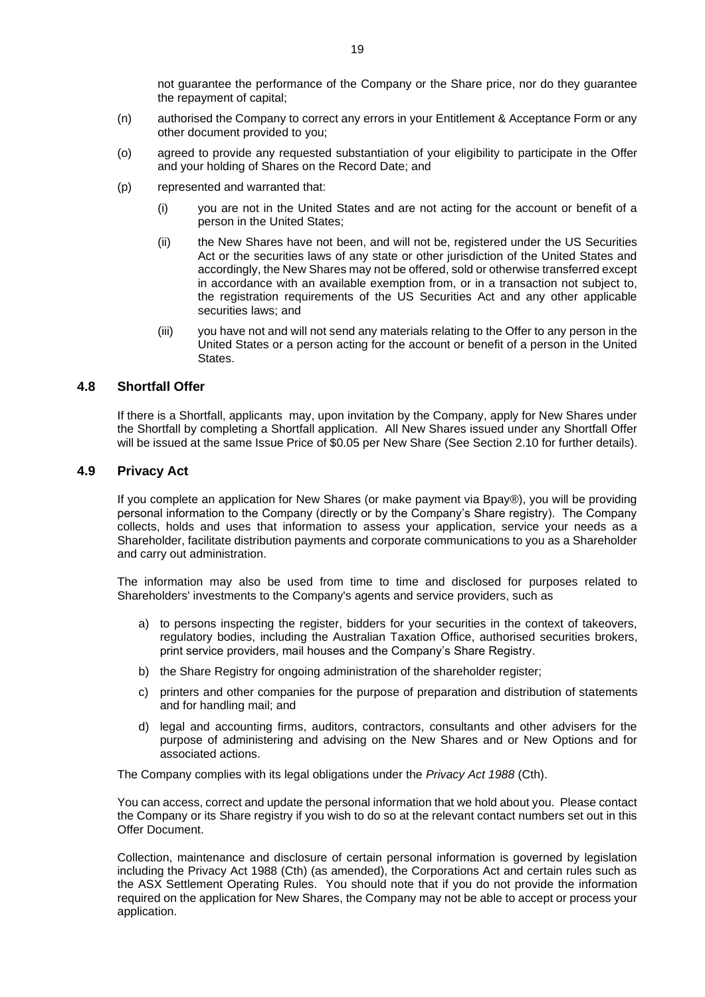not guarantee the performance of the Company or the Share price, nor do they guarantee the repayment of capital;

- (n) authorised the Company to correct any errors in your Entitlement & Acceptance Form or any other document provided to you;
- (o) agreed to provide any requested substantiation of your eligibility to participate in the Offer and your holding of Shares on the Record Date; and
- (p) represented and warranted that:
	- (i) you are not in the United States and are not acting for the account or benefit of a person in the United States;
	- (ii) the New Shares have not been, and will not be, registered under the US Securities Act or the securities laws of any state or other jurisdiction of the United States and accordingly, the New Shares may not be offered, sold or otherwise transferred except in accordance with an available exemption from, or in a transaction not subject to, the registration requirements of the US Securities Act and any other applicable securities laws; and
	- (iii) you have not and will not send any materials relating to the Offer to any person in the United States or a person acting for the account or benefit of a person in the United **States**

# **4.8 Shortfall Offer**

If there is a Shortfall, applicants may, upon invitation by the Company, apply for New Shares under the Shortfall by completing a Shortfall application. All New Shares issued under any Shortfall Offer will be issued at the same Issue Price of \$0.05 per New Share (See Section [2.10](#page-8-1) for further details).

### **4.9 Privacy Act**

If you complete an application for New Shares (or make payment via Bpay®), you will be providing personal information to the Company (directly or by the Company's Share registry). The Company collects, holds and uses that information to assess your application, service your needs as a Shareholder, facilitate distribution payments and corporate communications to you as a Shareholder and carry out administration.

The information may also be used from time to time and disclosed for purposes related to Shareholders' investments to the Company's agents and service providers, such as

- a) to persons inspecting the register, bidders for your securities in the context of takeovers, regulatory bodies, including the Australian Taxation Office, authorised securities brokers, print service providers, mail houses and the Company's Share Registry.
- b) the Share Registry for ongoing administration of the shareholder register;
- c) printers and other companies for the purpose of preparation and distribution of statements and for handling mail; and
- d) legal and accounting firms, auditors, contractors, consultants and other advisers for the purpose of administering and advising on the New Shares and or New Options and for associated actions.

The Company complies with its legal obligations under the *Privacy Act 1988* (Cth).

You can access, correct and update the personal information that we hold about you. Please contact the Company or its Share registry if you wish to do so at the relevant contact numbers set out in this Offer Document.

Collection, maintenance and disclosure of certain personal information is governed by legislation including the Privacy Act 1988 (Cth) (as amended), the Corporations Act and certain rules such as the ASX Settlement Operating Rules. You should note that if you do not provide the information required on the application for New Shares, the Company may not be able to accept or process your application.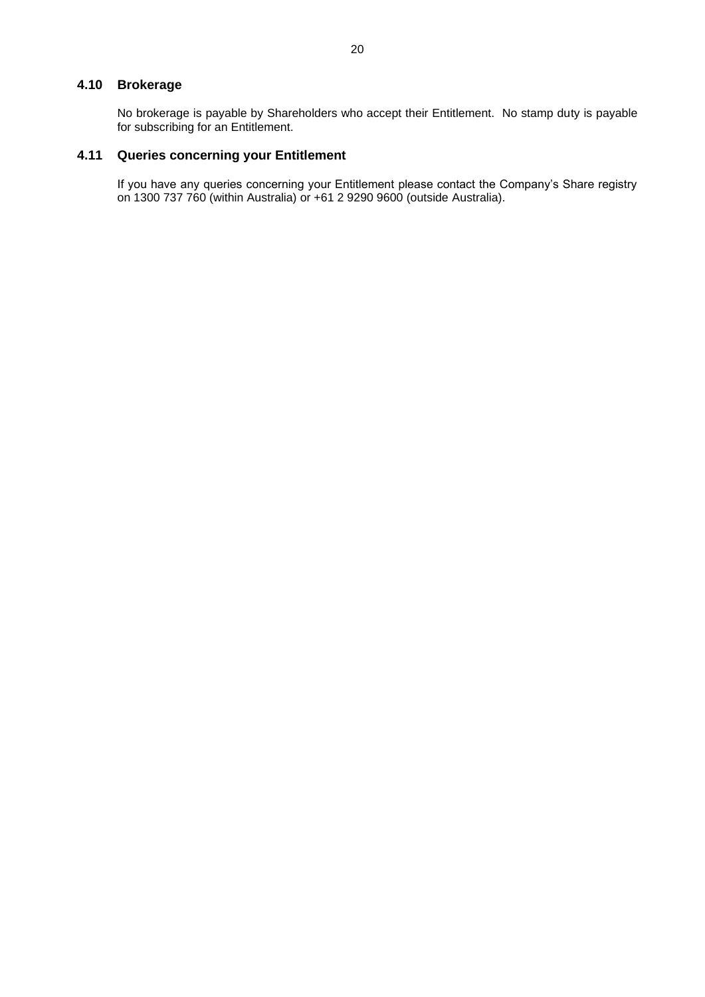# **4.10 Brokerage**

No brokerage is payable by Shareholders who accept their Entitlement. No stamp duty is payable for subscribing for an Entitlement.

# **4.11 Queries concerning your Entitlement**

If you have any queries concerning your Entitlement please contact the Company's Share registry on 1300 737 760 (within Australia) or +61 2 9290 9600 (outside Australia).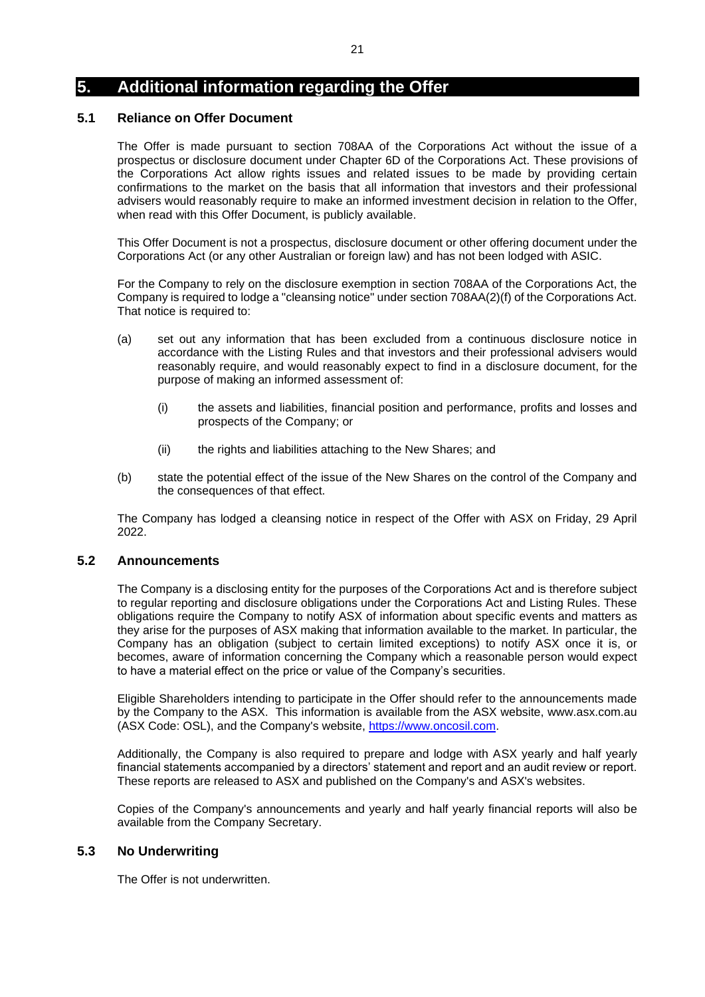# **5. Additional information regarding the Offer**

### **5.1 Reliance on Offer Document**

The Offer is made pursuant to section 708AA of the Corporations Act without the issue of a prospectus or disclosure document under Chapter 6D of the Corporations Act. These provisions of the Corporations Act allow rights issues and related issues to be made by providing certain confirmations to the market on the basis that all information that investors and their professional advisers would reasonably require to make an informed investment decision in relation to the Offer, when read with this Offer Document, is publicly available.

This Offer Document is not a prospectus, disclosure document or other offering document under the Corporations Act (or any other Australian or foreign law) and has not been lodged with ASIC.

For the Company to rely on the disclosure exemption in section 708AA of the Corporations Act, the Company is required to lodge a "cleansing notice" under section 708AA(2)(f) of the Corporations Act. That notice is required to:

- (a) set out any information that has been excluded from a continuous disclosure notice in accordance with the Listing Rules and that investors and their professional advisers would reasonably require, and would reasonably expect to find in a disclosure document, for the purpose of making an informed assessment of:
	- (i) the assets and liabilities, financial position and performance, profits and losses and prospects of the Company; or
	- (ii) the rights and liabilities attaching to the New Shares; and
- (b) state the potential effect of the issue of the New Shares on the control of the Company and the consequences of that effect.

The Company has lodged a cleansing notice in respect of the Offer with ASX on Friday, 29 April 2022.

## **5.2 Announcements**

The Company is a disclosing entity for the purposes of the Corporations Act and is therefore subject to regular reporting and disclosure obligations under the Corporations Act and Listing Rules. These obligations require the Company to notify ASX of information about specific events and matters as they arise for the purposes of ASX making that information available to the market. In particular, the Company has an obligation (subject to certain limited exceptions) to notify ASX once it is, or becomes, aware of information concerning the Company which a reasonable person would expect to have a material effect on the price or value of the Company's securities.

Eligible Shareholders intending to participate in the Offer should refer to the announcements made by the Company to the ASX. This information is available from the ASX website, www.asx.com.au (ASX Code: OSL), and the Company's website, [https://www.oncosil.com.](https://www.oncosil.com/)

Additionally, the Company is also required to prepare and lodge with ASX yearly and half yearly financial statements accompanied by a directors' statement and report and an audit review or report. These reports are released to ASX and published on the Company's and ASX's websites.

Copies of the Company's announcements and yearly and half yearly financial reports will also be available from the Company Secretary.

## **5.3 No Underwriting**

The Offer is not underwritten.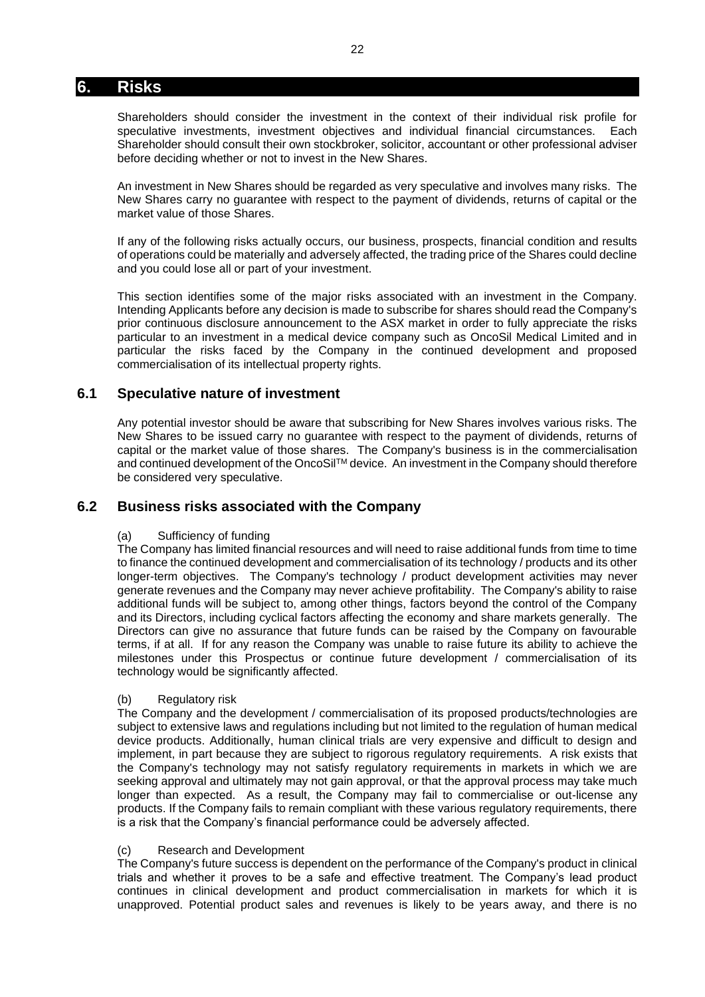# <span id="page-21-0"></span>**6. Risks**

Shareholders should consider the investment in the context of their individual risk profile for speculative investments, investment objectives and individual financial circumstances. Each Shareholder should consult their own stockbroker, solicitor, accountant or other professional adviser before deciding whether or not to invest in the New Shares.

An investment in New Shares should be regarded as very speculative and involves many risks. The New Shares carry no guarantee with respect to the payment of dividends, returns of capital or the market value of those Shares.

If any of the following risks actually occurs, our business, prospects, financial condition and results of operations could be materially and adversely affected, the trading price of the Shares could decline and you could lose all or part of your investment.

This section identifies some of the major risks associated with an investment in the Company. Intending Applicants before any decision is made to subscribe for shares should read the Company's prior continuous disclosure announcement to the ASX market in order to fully appreciate the risks particular to an investment in a medical device company such as OncoSil Medical Limited and in particular the risks faced by the Company in the continued development and proposed commercialisation of its intellectual property rights.

# **6.1 Speculative nature of investment**

Any potential investor should be aware that subscribing for New Shares involves various risks. The New Shares to be issued carry no guarantee with respect to the payment of dividends, returns of capital or the market value of those shares. The Company's business is in the commercialisation and continued development of the OncoSil™ device. An investment in the Company should therefore be considered very speculative.

# **6.2 Business risks associated with the Company**

### (a) Sufficiency of funding

The Company has limited financial resources and will need to raise additional funds from time to time to finance the continued development and commercialisation of its technology / products and its other longer-term objectives. The Company's technology / product development activities may never generate revenues and the Company may never achieve profitability. The Company's ability to raise additional funds will be subject to, among other things, factors beyond the control of the Company and its Directors, including cyclical factors affecting the economy and share markets generally. The Directors can give no assurance that future funds can be raised by the Company on favourable terms, if at all. If for any reason the Company was unable to raise future its ability to achieve the milestones under this Prospectus or continue future development / commercialisation of its technology would be significantly affected.

### (b) Regulatory risk

The Company and the development / commercialisation of its proposed products/technologies are subject to extensive laws and regulations including but not limited to the regulation of human medical device products. Additionally, human clinical trials are very expensive and difficult to design and implement, in part because they are subject to rigorous regulatory requirements. A risk exists that the Company's technology may not satisfy regulatory requirements in markets in which we are seeking approval and ultimately may not gain approval, or that the approval process may take much longer than expected. As a result, the Company may fail to commercialise or out-license any products. If the Company fails to remain compliant with these various regulatory requirements, there is a risk that the Company's financial performance could be adversely affected.

### (c) Research and Development

The Company's future success is dependent on the performance of the Company's product in clinical trials and whether it proves to be a safe and effective treatment. The Company's lead product continues in clinical development and product commercialisation in markets for which it is unapproved. Potential product sales and revenues is likely to be years away, and there is no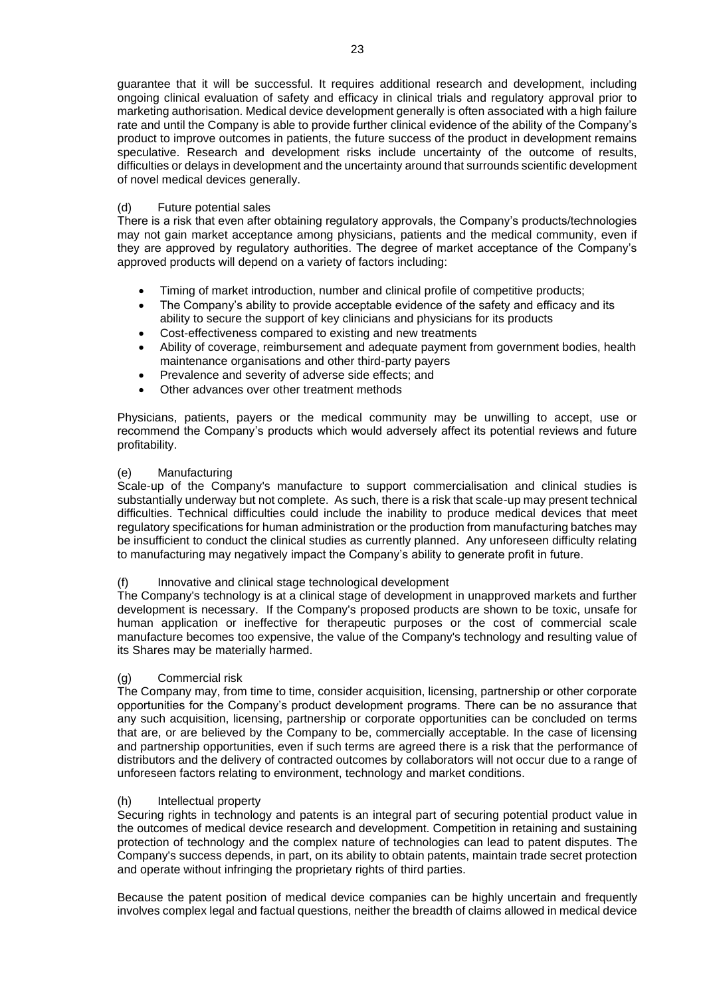guarantee that it will be successful. It requires additional research and development, including ongoing clinical evaluation of safety and efficacy in clinical trials and regulatory approval prior to marketing authorisation. Medical device development generally is often associated with a high failure rate and until the Company is able to provide further clinical evidence of the ability of the Company's product to improve outcomes in patients, the future success of the product in development remains speculative. Research and development risks include uncertainty of the outcome of results, difficulties or delays in development and the uncertainty around that surrounds scientific development of novel medical devices generally.

### (d) Future potential sales

There is a risk that even after obtaining regulatory approvals, the Company's products/technologies may not gain market acceptance among physicians, patients and the medical community, even if they are approved by regulatory authorities. The degree of market acceptance of the Company's approved products will depend on a variety of factors including:

- Timing of market introduction, number and clinical profile of competitive products;
- The Company's ability to provide acceptable evidence of the safety and efficacy and its ability to secure the support of key clinicians and physicians for its products
- Cost-effectiveness compared to existing and new treatments
- Ability of coverage, reimbursement and adequate payment from government bodies, health maintenance organisations and other third-party payers
- Prevalence and severity of adverse side effects; and
- Other advances over other treatment methods

Physicians, patients, payers or the medical community may be unwilling to accept, use or recommend the Company's products which would adversely affect its potential reviews and future profitability.

### (e) Manufacturing

Scale-up of the Company's manufacture to support commercialisation and clinical studies is substantially underway but not complete. As such, there is a risk that scale-up may present technical difficulties. Technical difficulties could include the inability to produce medical devices that meet regulatory specifications for human administration or the production from manufacturing batches may be insufficient to conduct the clinical studies as currently planned. Any unforeseen difficulty relating to manufacturing may negatively impact the Company's ability to generate profit in future.

### (f) Innovative and clinical stage technological development

The Company's technology is at a clinical stage of development in unapproved markets and further development is necessary. If the Company's proposed products are shown to be toxic, unsafe for human application or ineffective for therapeutic purposes or the cost of commercial scale manufacture becomes too expensive, the value of the Company's technology and resulting value of its Shares may be materially harmed.

### (g) Commercial risk

The Company may, from time to time, consider acquisition, licensing, partnership or other corporate opportunities for the Company's product development programs. There can be no assurance that any such acquisition, licensing, partnership or corporate opportunities can be concluded on terms that are, or are believed by the Company to be, commercially acceptable. In the case of licensing and partnership opportunities, even if such terms are agreed there is a risk that the performance of distributors and the delivery of contracted outcomes by collaborators will not occur due to a range of unforeseen factors relating to environment, technology and market conditions.

### (h) Intellectual property

Securing rights in technology and patents is an integral part of securing potential product value in the outcomes of medical device research and development. Competition in retaining and sustaining protection of technology and the complex nature of technologies can lead to patent disputes. The Company's success depends, in part, on its ability to obtain patents, maintain trade secret protection and operate without infringing the proprietary rights of third parties.

Because the patent position of medical device companies can be highly uncertain and frequently involves complex legal and factual questions, neither the breadth of claims allowed in medical device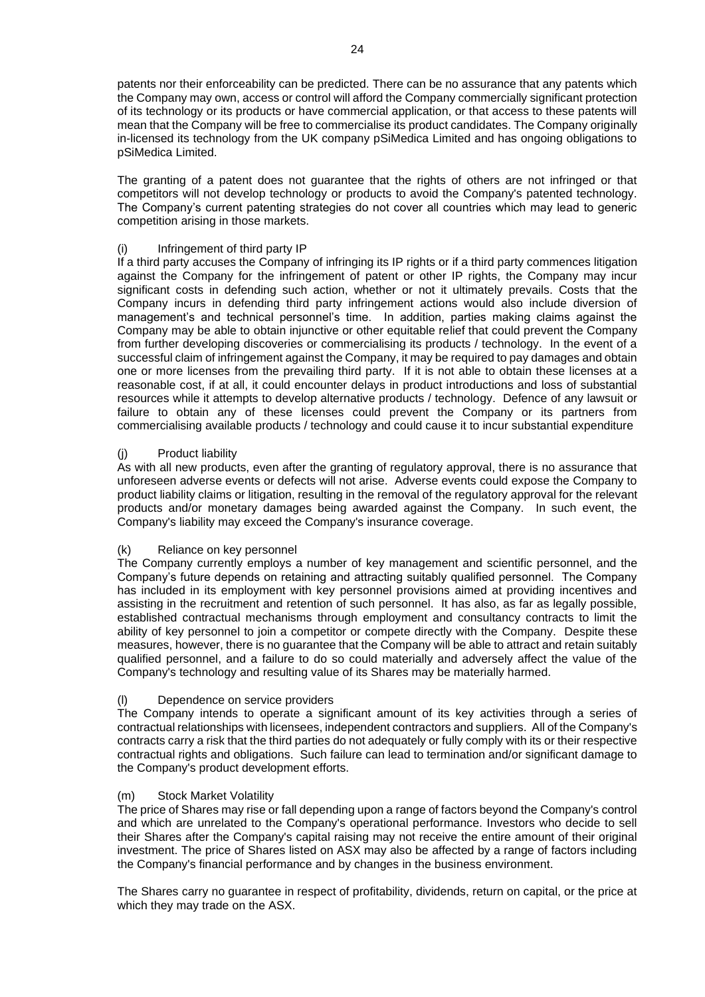patents nor their enforceability can be predicted. There can be no assurance that any patents which the Company may own, access or control will afford the Company commercially significant protection of its technology or its products or have commercial application, or that access to these patents will mean that the Company will be free to commercialise its product candidates. The Company originally in-licensed its technology from the UK company pSiMedica Limited and has ongoing obligations to pSiMedica Limited.

The granting of a patent does not guarantee that the rights of others are not infringed or that competitors will not develop technology or products to avoid the Company's patented technology. The Company's current patenting strategies do not cover all countries which may lead to generic competition arising in those markets.

### (i) Infringement of third party IP

If a third party accuses the Company of infringing its IP rights or if a third party commences litigation against the Company for the infringement of patent or other IP rights, the Company may incur significant costs in defending such action, whether or not it ultimately prevails. Costs that the Company incurs in defending third party infringement actions would also include diversion of management's and technical personnel's time. In addition, parties making claims against the Company may be able to obtain injunctive or other equitable relief that could prevent the Company from further developing discoveries or commercialising its products / technology. In the event of a successful claim of infringement against the Company, it may be required to pay damages and obtain one or more licenses from the prevailing third party. If it is not able to obtain these licenses at a reasonable cost, if at all, it could encounter delays in product introductions and loss of substantial resources while it attempts to develop alternative products / technology. Defence of any lawsuit or failure to obtain any of these licenses could prevent the Company or its partners from commercialising available products / technology and could cause it to incur substantial expenditure

### (j) Product liability

As with all new products, even after the granting of regulatory approval, there is no assurance that unforeseen adverse events or defects will not arise. Adverse events could expose the Company to product liability claims or litigation, resulting in the removal of the regulatory approval for the relevant products and/or monetary damages being awarded against the Company. In such event, the Company's liability may exceed the Company's insurance coverage.

### (k) Reliance on key personnel

The Company currently employs a number of key management and scientific personnel, and the Company's future depends on retaining and attracting suitably qualified personnel. The Company has included in its employment with key personnel provisions aimed at providing incentives and assisting in the recruitment and retention of such personnel. It has also, as far as legally possible, established contractual mechanisms through employment and consultancy contracts to limit the ability of key personnel to join a competitor or compete directly with the Company. Despite these measures, however, there is no guarantee that the Company will be able to attract and retain suitably qualified personnel, and a failure to do so could materially and adversely affect the value of the Company's technology and resulting value of its Shares may be materially harmed.

### (l) Dependence on service providers

The Company intends to operate a significant amount of its key activities through a series of contractual relationships with licensees, independent contractors and suppliers. All of the Company's contracts carry a risk that the third parties do not adequately or fully comply with its or their respective contractual rights and obligations. Such failure can lead to termination and/or significant damage to the Company's product development efforts.

### (m) Stock Market Volatility

The price of Shares may rise or fall depending upon a range of factors beyond the Company's control and which are unrelated to the Company's operational performance. Investors who decide to sell their Shares after the Company's capital raising may not receive the entire amount of their original investment. The price of Shares listed on ASX may also be affected by a range of factors including the Company's financial performance and by changes in the business environment.

The Shares carry no guarantee in respect of profitability, dividends, return on capital, or the price at which they may trade on the ASX.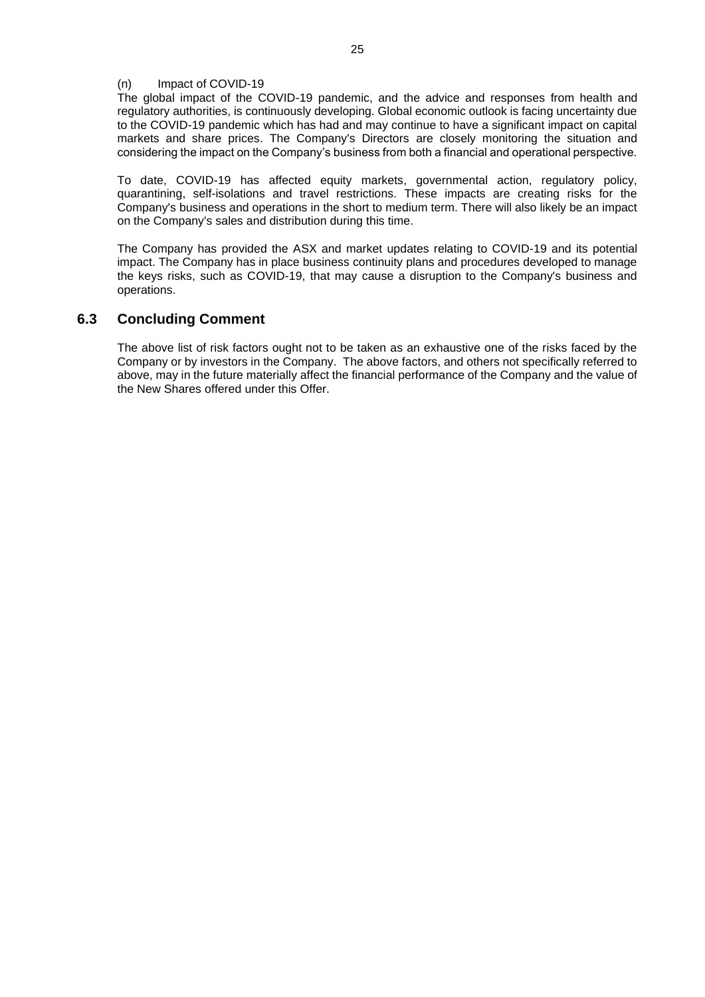### (n) Impact of COVID-19

The global impact of the COVID-19 pandemic, and the advice and responses from health and regulatory authorities, is continuously developing. Global economic outlook is facing uncertainty due to the COVID-19 pandemic which has had and may continue to have a significant impact on capital markets and share prices. The Company's Directors are closely monitoring the situation and considering the impact on the Company's business from both a financial and operational perspective.

To date, COVID-19 has affected equity markets, governmental action, regulatory policy, quarantining, self-isolations and travel restrictions. These impacts are creating risks for the Company's business and operations in the short to medium term. There will also likely be an impact on the Company's sales and distribution during this time.

The Company has provided the ASX and market updates relating to COVID-19 and its potential impact. The Company has in place business continuity plans and procedures developed to manage the keys risks, such as COVID-19, that may cause a disruption to the Company's business and operations.

# **6.3 Concluding Comment**

The above list of risk factors ought not to be taken as an exhaustive one of the risks faced by the Company or by investors in the Company. The above factors, and others not specifically referred to above, may in the future materially affect the financial performance of the Company and the value of the New Shares offered under this Offer.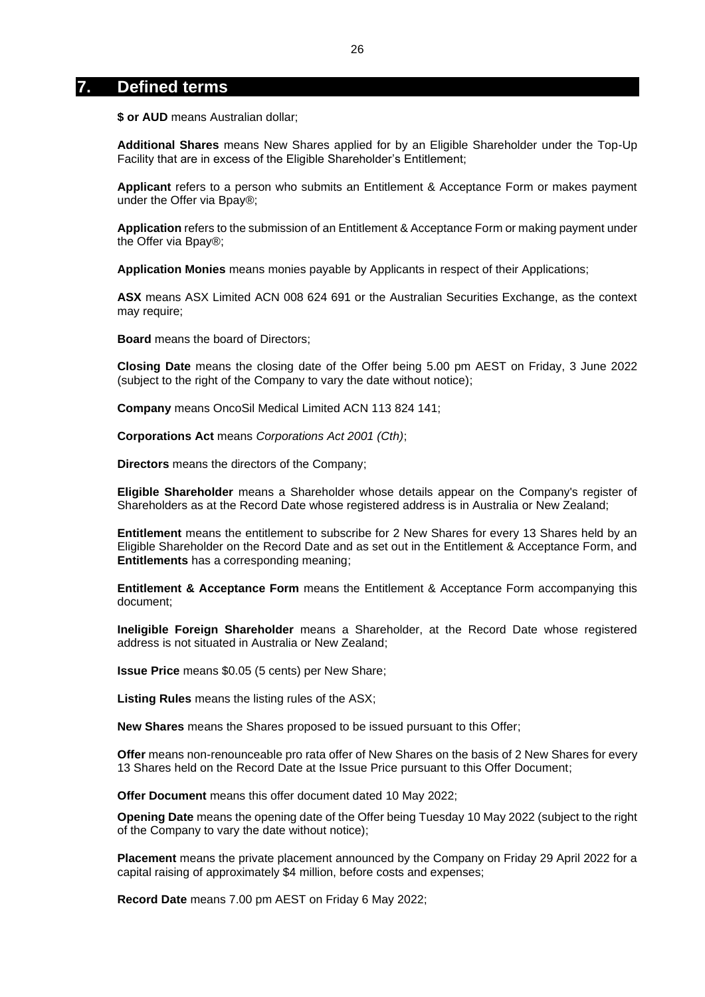# **7. Defined terms**

**\$ or AUD** means Australian dollar;

**Additional Shares** means New Shares applied for by an Eligible Shareholder under the Top-Up Facility that are in excess of the Eligible Shareholder's Entitlement;

**Applicant** refers to a person who submits an Entitlement & Acceptance Form or makes payment under the Offer via Bpay®;

**Application** refers to the submission of an Entitlement & Acceptance Form or making payment under the Offer via Bpay®;

**Application Monies** means monies payable by Applicants in respect of their Applications;

**ASX** means ASX Limited ACN 008 624 691 or the Australian Securities Exchange, as the context may require;

**Board** means the board of Directors;

**Closing Date** means the closing date of the Offer being 5.00 pm AEST on Friday, 3 June 2022 (subject to the right of the Company to vary the date without notice);

**Company** means OncoSil Medical Limited ACN 113 824 141;

**Corporations Act** means *Corporations Act 2001 (Cth)*;

**Directors** means the directors of the Company;

**Eligible Shareholder** means a Shareholder whose details appear on the Company's register of Shareholders as at the Record Date whose registered address is in Australia or New Zealand;

**Entitlement** means the entitlement to subscribe for 2 New Shares for every 13 Shares held by an Eligible Shareholder on the Record Date and as set out in the Entitlement & Acceptance Form, and **Entitlements** has a corresponding meaning;

**Entitlement & Acceptance Form** means the Entitlement & Acceptance Form accompanying this document;

**Ineligible Foreign Shareholder** means a Shareholder, at the Record Date whose registered address is not situated in Australia or New Zealand;

**Issue Price** means \$0.05 (5 cents) per New Share;

**Listing Rules** means the listing rules of the ASX;

**New Shares** means the Shares proposed to be issued pursuant to this Offer;

**Offer** means non-renounceable pro rata offer of New Shares on the basis of 2 New Shares for every 13 Shares held on the Record Date at the Issue Price pursuant to this Offer Document;

**Offer Document** means this offer document dated 10 May 2022;

**Opening Date** means the opening date of the Offer being Tuesday 10 May 2022 (subject to the right of the Company to vary the date without notice);

**Placement** means the private placement announced by the Company on Friday 29 April 2022 for a capital raising of approximately \$4 million, before costs and expenses;

**Record Date** means 7.00 pm AEST on Friday 6 May 2022;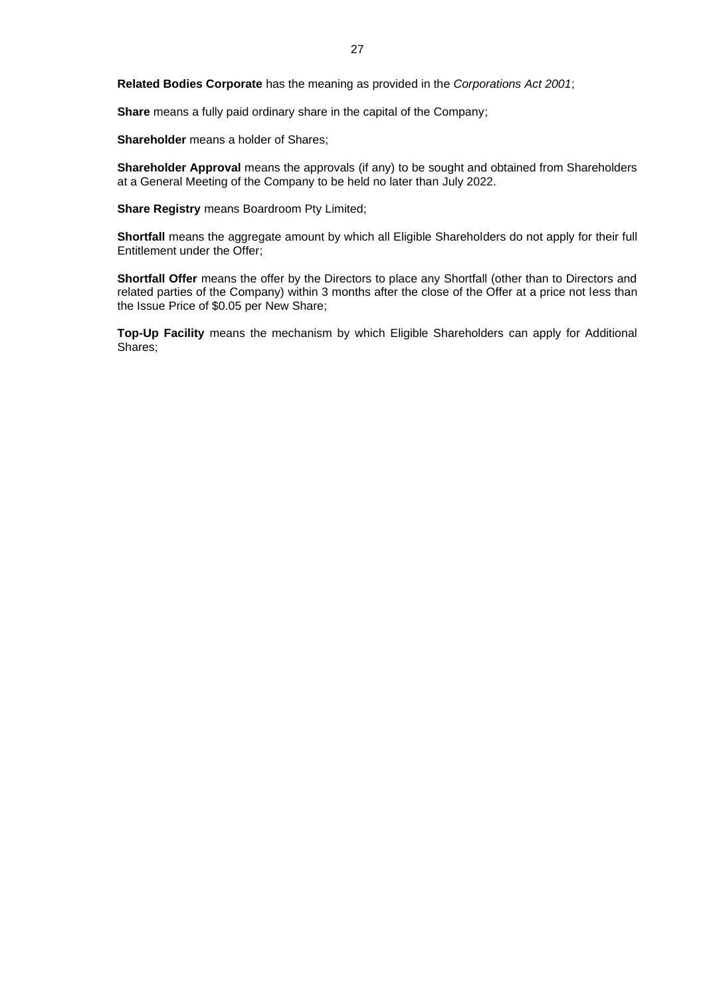**Related Bodies Corporate** has the meaning as provided in the *Corporations Act 2001*;

**Share** means a fully paid ordinary share in the capital of the Company;

**Shareholder** means a holder of Shares;

**Shareholder Approval** means the approvals (if any) to be sought and obtained from Shareholders at a General Meeting of the Company to be held no later than July 2022.

**Share Registry** means Boardroom Pty Limited;

**Shortfall** means the aggregate amount by which all Eligible Shareholders do not apply for their full Entitlement under the Offer;

**Shortfall Offer** means the offer by the Directors to place any Shortfall (other than to Directors and related parties of the Company) within 3 months after the close of the Offer at a price not less than the Issue Price of \$0.05 per New Share;

**Top-Up Facility** means the mechanism by which Eligible Shareholders can apply for Additional Shares;